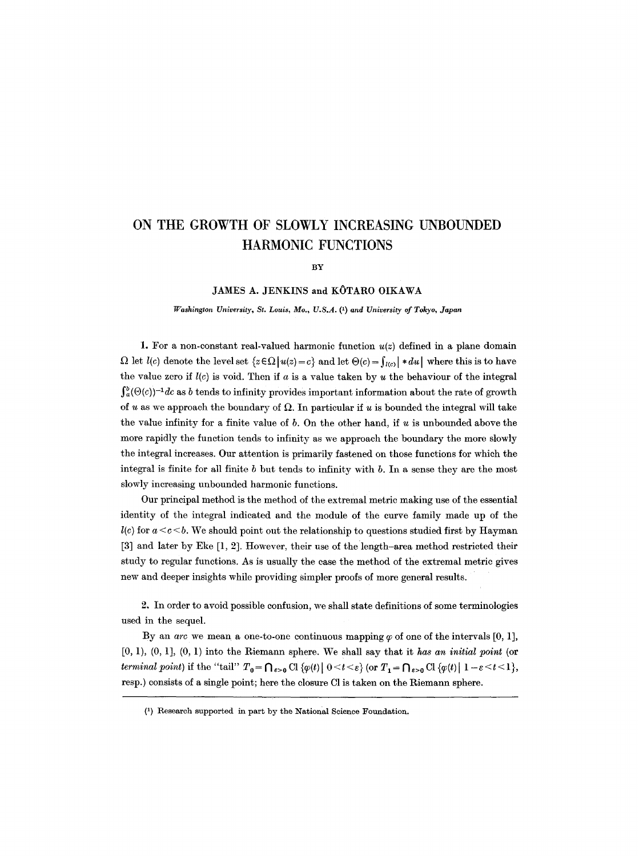# **ON THE GROWTH OF SLOWLY INCREASING UNBOUNDED HARMONIC FUNCTIONS**

**BY** 

#### JAMES A. JENKINS and KOTARO OIKAWA

*l~'asklngton University, St. Louis, Mo., U.S.A. (1) and University of Tokyo, Japan* 

1. For a non-constant real-valued harmonic function  $u(z)$  defined in a plane domain  $\Omega$  let  $l(c)$  denote the level set  $\{z \in \Omega \mid u(z) = c\}$  and let  $\Theta(c) = \int u(c) \mid * du \mid$  where this is to have the value zero if  $l(c)$  is void. Then if a is a value taken by u the behaviour of the integral  $\int_a^b (\Theta(c))^{-1} dc$  as b tends to infinity provides important information about the rate of growth of u as we approach the boundary of  $\Omega$ . In particular if u is bounded the integral will take the value infinity for a finite value of  $b$ . On the other hand, if  $u$  is unbounded above the more rapidly the function tends to infinity as we approach the boundary the more slowly the integral increases. Our attention is primarily fastened on those functions for which the integral is finite for all finite b but tends to infinity with b. In a sense they are the most slowly increasing unbounded harmonic functions.

Our principal method is the method of the extremal metric making use of the essential identity of the integral indicated and the module of the curve family made up of the  $l(c)$  for  $a < c < b$ . We should point out the relationship to questions studied first by Hayman [3] and later by Eke [1, 2]. However, their use of the length-area method restricted their study to regular functions. As is usually the case the method of the extremal metric gives new and deeper insights while providing simpler proofs of more general results.

2. In order to avoid possible confusion, we shall state definitions of some terminologies used in the sequel.

By an *arc* we mean a one-to-one continuous mapping  $\varphi$  of one of the intervals [0, 1],  $[0, 1), (0, 1), (0, 1)$  into the Riemann sphere. We shall say that it has an initial point (or *terminal point*) if the "tail"  $T_0 = \bigcap_{\varepsilon > 0} C1$  { $\varphi(t) \mid 0 < t < \varepsilon$ } (or  $T_1 = \bigcap_{\varepsilon > 0} C1$  { $\varphi(t) \mid 1 - \varepsilon < t < 1$ }, resp.) consists of a single point; here the closure Cl is taken on the Riemann sphere.

<sup>(1)</sup> Research supported in part by the National Science Foundation.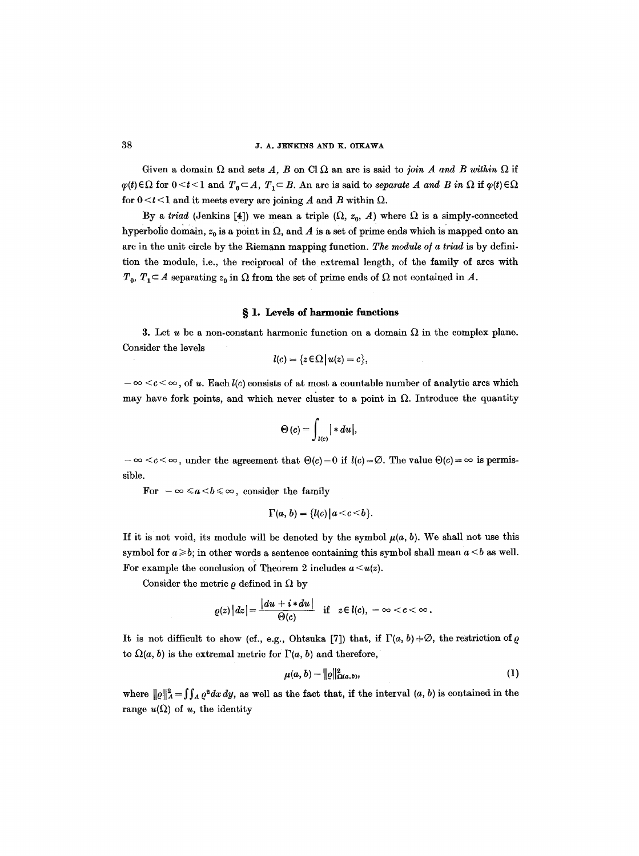Given a domain  $\Omega$  and sets A, B on Cl  $\Omega$  an arc is said to *join A and B within*  $\Omega$  if  $\varphi(t) \in \Omega$  for  $0 \le t \le 1$  and  $T_0 \subseteq A$ ,  $T_1 \subseteq B$ . An arc is said to *separate A and B in*  $\Omega$  if  $\varphi(t) \in \Omega$ for  $0 < t < l$  and it meets every arc joining A and B within  $\Omega$ .

By a *triad* (Jenkins [4]) we mean a triple  $(\Omega, z_0, A)$  where  $\Omega$  is a simply-connected hyperbolic domain,  $z_0$  is a point in  $\Omega$ , and A is a set of prime ends which is mapped onto an arc in the unit circle by the Riemann mapping function. *The module o/a triad* is by definition the module, i.e., the reciprocal of the extremal length, of the family of ares with  $T_0$ ,  $T_1 \subset A$  separating  $z_0$  in  $\Omega$  from the set of prime ends of  $\Omega$  not contained in A.

#### § 1. Levels of harmonic functions

3. Let u be a non-constant harmonic function on a domain  $\Omega$  in the complex plane. Consider the levels

$$
l(c) = \{z \in \Omega \mid u(z) = c\},\
$$

 $-\infty < c < \infty$ , of u. Each  $l(c)$  consists of at most a countable number of analytic arcs which may have fork points, and which never cluster to a point in  $\Omega$ . Introduce the quantity

$$
\Theta(c) = \int_{l(c)} | * du |,
$$

 $-c < c < \infty$ , under the agreement that  $\Theta(c) = 0$  if  $l(c) = \emptyset$ . The value  $\Theta(c) = \infty$  is permissible.

For  $-\infty \leq a < b \leq \infty$ , consider the family

$$
\Gamma(a, b) = \{l(c) | a < c < b\}.
$$

If it is not void, its module will be denoted by the symbol  $\mu(a, b)$ . We shall not use this symbol for  $a \ge b$ ; in other words a sentence containing this symbol shall mean  $a \le b$  as well. For example the conclusion of Theorem 2 includes  $a < u(z)$ .

Consider the metric  $\rho$  defined in  $\Omega$  by

$$
\varrho(z)\,|dz|=\frac{|du+i*du|}{\Theta(c)}\quad\text{if}\quad z\in l(c),\;-\infty
$$

It is not difficult to show (cf., e.g., Ohtsuka [7]) that, if  $\Gamma(a, b) \neq \emptyset$ , the restriction of  $\rho$ to  $\Omega(a, b)$  is the extremal metric for  $\Gamma(a, b)$  and therefore,

$$
\mu(a, b) = ||\varrho||^2_{\Omega(a, b)},
$$
 (1)

where  $||\varrho||_A^2 = \iint_A \varrho^2 dx dy$ , as well as the fact that, if the interval  $(a, b)$  is contained in the range  $u(\Omega)$  of u, the identity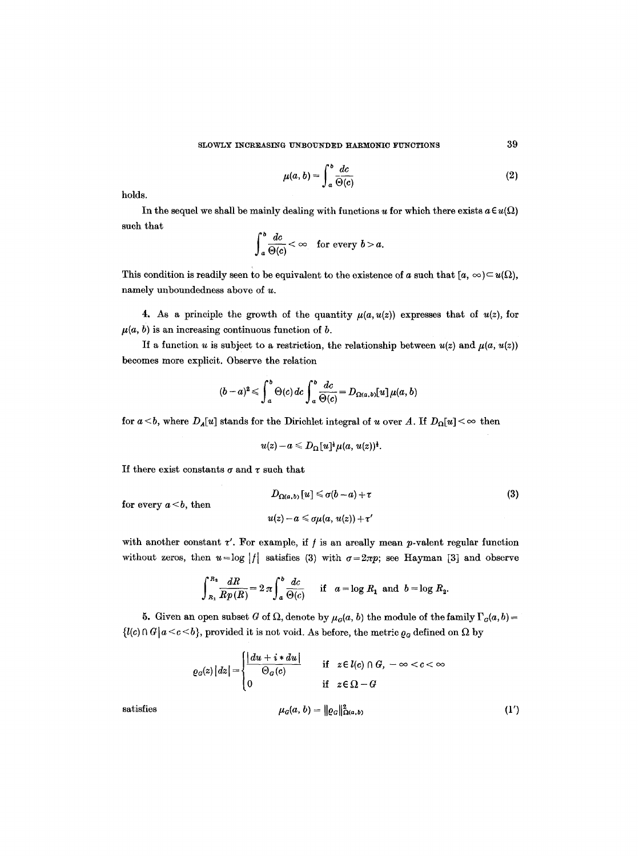$$
\mu(a,b) = \int_a^b \frac{dc}{\Theta(c)}\tag{2}
$$

holds.

In the sequel we shall be mainly dealing with functions u for which there exists  $a \in u(\Omega)$ such that

$$
\int_a^b \frac{dc}{\Theta(c)} < \infty \quad \text{for every } b > a.
$$

This condition is readily seen to be equivalent to the existence of a such that  $[a, \infty) \subset u(\Omega)$ , namely unboundedness above of u.

4. As a principle the growth of the quantity  $\mu(a, u(z))$  expresses that of  $u(z)$ , for  $\mu(a, b)$  is an increasing continuous function of b.

If a function u is subject to a restriction, the relationship between  $u(z)$  and  $\mu(a, u(z))$ becomes more explicit. Observe the relation

$$
(b-a)^2 \leqslant \int_a^b \Theta(c) \, dc \int_a^b \frac{dc}{\Theta(c)} = D_{\Omega(a,b)}[u] \, \mu(a,b)
$$

for  $a < b$ , where  $D_A[u]$  stands for the Dirichlet integral of u over A. If  $D_{\Omega}[u] < \infty$  then

$$
u(z)-a\leqslant D_{\Omega}[u]^{\frac{1}{2}}\mu(a,u(z))^{\frac{1}{2}}.
$$

If there exist constants  $\sigma$  and  $\tau$  such that

for every  $a < b$ , then

 $D_{\Omega(a,b)}[u] \leq \sigma(b-a)+\tau$  (3)  $u(z) - a \leq \sigma \mu(a, u(z)) + \tau'$ 

with another constant  $\tau'$ . For example, if  $f$  is an areally mean  $p$ -valent regular function without zeros, then  $u = \log |f|$  satisfies (3) with  $\sigma = 2\pi p$ ; see Hayman [3] and observe

$$
\int_{R_1}^{R_1} \frac{dR}{R p(R)} = 2 \pi \int_a^b \frac{dc}{\Theta(c)} \quad \text{if} \quad a = \log R_1 \text{ and } b = \log R_2.
$$

5. Given an open subset G of  $\Omega$ , denote by  $\mu_G(a, b)$  the module of the family  $\Gamma_G(a, b) =$  $\{l(c) \cap G \mid a \leq c \leq b\}$ , provided it is not void. As before, the metric  $\varrho_G$  defined on  $\Omega$  by

$$
\varrho_G(z) |dz| = \begin{cases} \frac{|du + i * du|}{\Theta_G(c)} & \text{if } z \in l(c) \cap G, -\infty < c < \infty \\ 0 & \text{if } z \in \Omega - G \end{cases}
$$
\nsatisfies

\n
$$
\mu_G(a, b) = ||\varrho_G||^2_{\Omega(a, b)} \tag{1'}
$$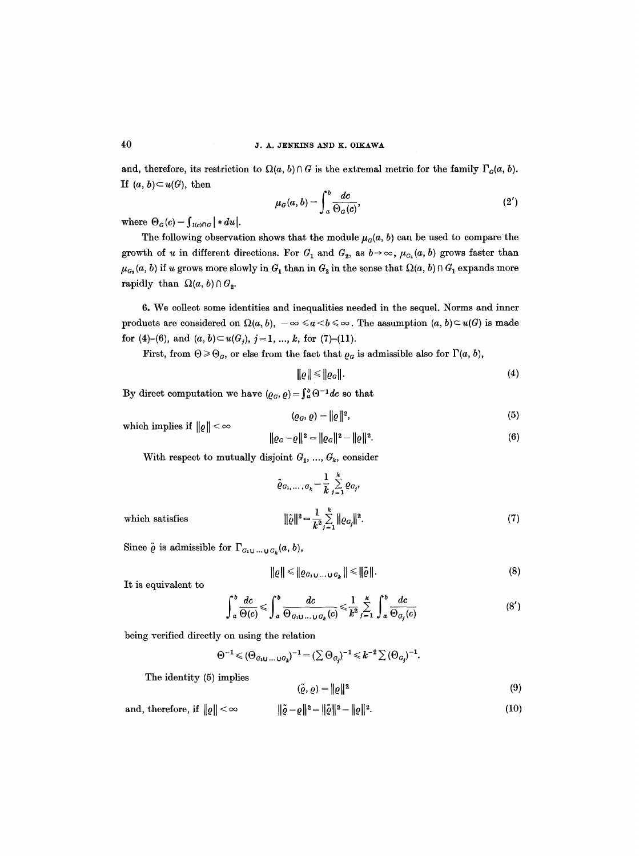# **40** J. A. JENKINS AND K. OIKAWA

and, therefore, its restriction to  $\Omega(a, b) \cap G$  is the extremal metric for the family  $\Gamma_G(a, b)$ . If  $(a, b) \subset u(G)$ , then

$$
\mu_G(a,b) = \int_a^b \frac{dc}{\Theta_G(c)},\tag{2'}
$$

where  $\Theta_G(c) = \int_{l(c)\cap G} | * du |$ .

The following observation shows that the module  $\mu_G(a, b)$  can be used to compare the growth of u in different directions. For  $G_1$  and  $G_2$ , as  $b\rightarrow\infty$ ,  $\mu_{G_1}(a, b)$  grows faster than  $\mu_{G_2}(a, b)$  if u grows more slowly in  $G_1$  than in  $G_2$  in the sense that  $\Omega(a, b) \cap G_1$  expands more rapidly than  $\Omega(a, b) \cap G_2$ .

6. We collect some identities and inequalities needed in the sequel. Norms and inner products are considered on  $\Omega(a, b)$ ,  $-\infty \le a < b \le \infty$ . The assumption  $(a, b) \subset u(G)$  is made for (4)-(6), and  $(a, b) \subset u(G_i)$ ,  $j = 1, ..., k$ , for (7)-(11).

First, from  $\Theta \geq \Theta_G$ , or else from the fact that  $\varrho_G$  is admissible also for  $\Gamma(a, b)$ ,

$$
\|\varrho\| \leq \|\varrho_G\|.\tag{4}
$$

By direct computation we have  $(\varrho_G, \varrho) = \int_a^b \Theta^{-1} dc$  so that

$$
(\varrho_{G}, \varrho) = ||\varrho||^{2}, \tag{5}
$$

which implies if  $\|\varrho\| < \infty$ 

$$
\|\varrho_G - \varrho\|^2 = \|\varrho_G\|^2 - \|\varrho\|^2. \tag{6}
$$

With respect to mutually disjoint  $G_1, ..., G_k$ , consider

$$
\tilde{\varrho}_{G_1,\dots,G_k} = \frac{1}{k} \sum_{j=1}^k \varrho_{G_j},
$$
  

$$
\|\tilde{\varrho}\|^2 = \frac{1}{k} \sum_{j=1}^k \|\varrho_{G_j}\|^2.
$$
 (7)

 $which satisfies$ 

$$
\|\tilde{\varrho}\|^2 = \frac{1}{k^2} \sum_{j=1}^{\infty} \|\varrho_{G_j}\|^2.
$$
 (7)

Since  $\tilde{\varrho}$  is admissible for  $\Gamma_{G_1 \cup \ldots \cup G_k}(a, b)$ ,

$$
\|\varrho\| \leqslant \|\varrho_{G_1\cup\ldots\cup G_k}\| \leqslant \|\tilde{\varrho}\|.\tag{8}
$$

It is equivalent to

$$
\int_{a}^{b} \frac{dc}{\Theta(c)} \leqslant \int_{a}^{b} \frac{dc}{\Theta_{G_1 \cup \ldots \cup G_k}(c)} \leqslant \frac{1}{k^2} \sum_{j=1}^{k} \int_{a}^{b} \frac{dc}{\Theta_{G_j}(c)}
$$
(8')

being verified directly on using the relation

$$
\Theta^{-1} \leqslant (\Theta_{G_1\cup \ldots \cup G_k})^{-1} = (\sum \Theta_{G_j})^{-1} \leqslant k^{-2} \sum (\Theta_{G_j})^{-1}.
$$

The identity (5) implies

$$
(\tilde{\varrho}, \varrho) = \|\varrho\|^2 \tag{9}
$$

and, therefore, if 
$$
||\varrho|| < \infty
$$
  $||\tilde{\varrho} - \varrho||^2 = ||\tilde{\varrho}||^2 - ||\varrho||^2$ . (10)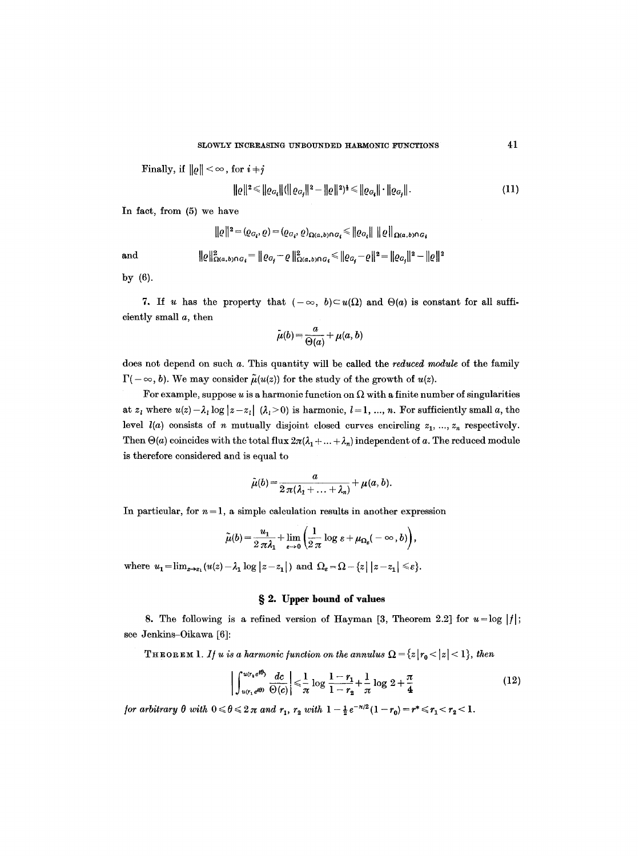Finally, if  $\|\varrho\| < \infty$ , for  $i+j$ 

$$
\| \varrho \|^{2} \leq \| \varrho_{G_{i}} \| ( \| \varrho_{G_{j}} \|^{2} - \| \varrho \|^{2})^{\frac{1}{2}} \leq \| \varrho_{G_{i}} \| \cdot \| \varrho_{G_{j}} \|.
$$
\n(11)

**In** fact, from (5) we have

$$
\| \varrho \|^2 = ( \varrho_{G_i}, \varrho) = ( \varrho_{G_i}, \varrho)_{\Omega(a, b) \cap G_i} \leq \| \varrho_{G_i} \| \| \varrho \|_{\Omega(a, b) \cap G_i}
$$

and 
$$
\|e\|_{\Omega(a,b)\cap G_i}^2 = \|e_{G_j} - e\|_{\Omega(a,b)\cap G_i}^2 \le \|e_{G_j} - e\|^2 = \|e_{G_j}\|^2 - \|e\|^2
$$

by (6).

7. If u has the property that  $(-\infty, b) \subset u(\Omega)$  and  $\Theta(a)$  is constant for all sufficiently small a, then

$$
\tilde{\mu}(b) = \frac{a}{\Theta(a)} + \mu(a, b)
$$

does not depend on such a. This quantity will be called the *reduced module* of the family  $\Gamma(-\infty, b)$ . We may consider  $\tilde{\mu}(u(z))$  for the study of the growth of  $u(z)$ .

For example, suppose u is a harmonic function on  $\Omega$  with a finite number of singularities at  $z_l$  where  $u(z)-\lambda_l \log|z-z_l|$   $(\lambda_l>0)$  is harmonic,  $l=1, ..., n$ . For sufficiently small a, the level  $l(a)$  consists of n mutually disjoint closed curves encircling  $z_1, ..., z_n$  respectively. Then  $\Theta(a)$  coincides with the total flux  $2\pi(\lambda_1+\ldots+\lambda_n)$  independent of a. The reduced module is therefore considered and is equal to

$$
\tilde{\mu}(b) = \frac{a}{2 \pi (\lambda_1 + \ldots + \lambda_n)} + \mu(a, b).
$$

In particular, for  $n = 1$ , a simple calculation results in another expression

$$
\tilde{\mu}(b) = \frac{u_1}{2 \pi \lambda_1} + \lim_{\varepsilon \to 0} \left( \frac{1}{2 \pi} \log \varepsilon + \mu_{\Omega_{\varepsilon}}(-\infty, b) \right),
$$

where  $u_1=\lim_{z\to z_1}(u(z)-\lambda_1\log |z-z_1|)$  and  $\Omega_\varepsilon=\Omega-\{z\,|\,|z-z_1|\leqslant\varepsilon\}.$ 

## **w 2. Upper bound of values**

8. The following is a refined version of Hayman  $[3,$  Theorem 2.2] for  $u = \log |f|$ ; see Jenkins-Oikawa [6]:

**THEOREM** 1. If u is a harmonic function on the annulus  $\Omega = \{z | r_0 < |z| < 1\}$ , then

$$
\int_{u(r_1 e^{i\theta})}^{u(r_2 e^{i\theta})} \frac{dc}{\Theta(c)} \Big| \leq \frac{1}{\pi} \log \frac{1-r_1}{1-r_2} + \frac{1}{\pi} \log 2 + \frac{\pi}{4} \tag{12}
$$

*/or arbitrary 0 with*  $0 \le \theta \le 2 \pi$  *and*  $r_1$ ,  $r_2$  *with*  $1 - \frac{1}{2} e^{-\pi/2} (1 - r_0) = r^* \le r_1 < r_2 < 1$ .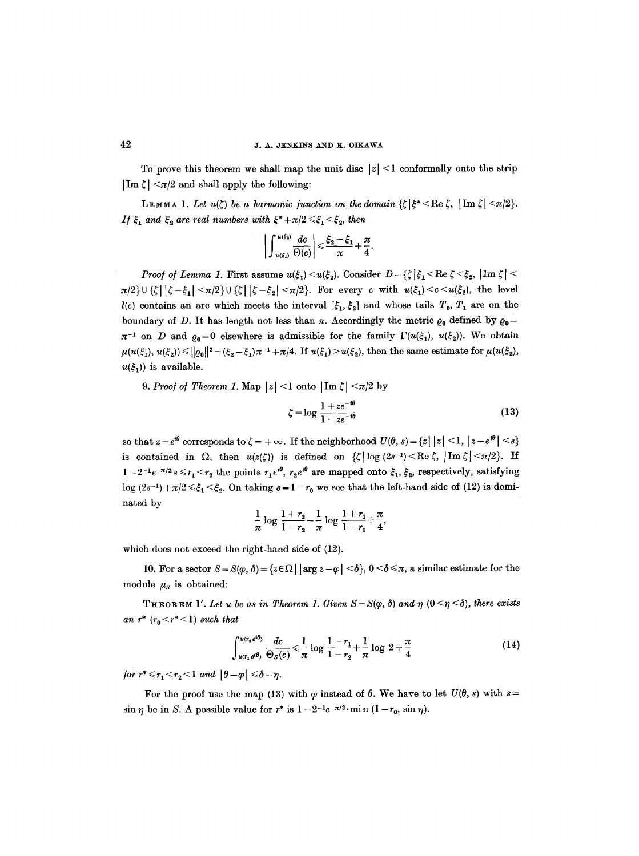To prove this theorem we shall map the unit disc  $|z| \leq 1$  conformally onto the strip  $|\text{Im }\zeta| < \pi/2$  and shall apply the following:

LEMMA 1. Let  $u(\zeta)$  be a harmonic function on the domain  ${\zeta}|\xi^*<\text{Re }\zeta, \, |\text{Im }\zeta|<\pi/2$ . *If*  $\xi_1$  and  $\xi_2$  are real numbers with  $\xi^* + \pi/2 \leq \xi_1 < \xi_2$ , then

$$
\bigg|\int_{u(\xi_1)}^{u(\xi_2)}\frac{dc}{\Theta(c)}\bigg|\leqslant \frac{\xi_2-\xi_1}{\pi}+\frac{\pi}{4}.
$$

*Proof of Lemma 1.* First assume  $u(\xi_1) < u(\xi_2)$ . Consider  $D = {\{\zeta \mid \xi_1 < \text{Re }\zeta < \xi_2, \,|\text{Im }\zeta| < \zeta\}}$  $\pi/2$  U { $\zeta$  |  $\zeta - \xi_1$  <  $\pi/2$  U { $\zeta$  |  $\zeta - \xi_2$  <  $\pi/2$ }. For every c with  $u(\xi_1) < c < u(\xi_2)$ , the level  $l(c)$  contains an arc which meets the interval  $[\xi_1, \xi_2]$  and whose tails  $T_0, T_1$  are on the boundary of D. It has length not less than  $\pi$ . Accordingly the metric  $\rho_0$  defined by  $\rho_0 =$  $\pi^{-1}$  on D and  $_{\mathcal{O}_0}=0$  elsewhere is admissible for the family  $\Gamma(u(\xi_1), u(\xi_2))$ . We obtain  $\mu(u(\xi_1), u(\xi_2)) \leq ||\varrho_0||^2 = (\xi_2 - \xi_1)\pi^{-1} + \pi/4$ . If  $u(\xi_1) > u(\xi_2)$ , then the same estimate for  $\mu(u(\xi_2),$  $u(\xi_1)$  is available.

**9.** *Proof of Theorem 1.* Map  $|z| < 1$  onto  $|\operatorname{Im} \zeta| < \pi/2$  by

$$
\zeta = \log \frac{1 + ze^{-i\theta}}{1 - ze^{-i\theta}} \tag{13}
$$

so that  $z = e^{i\theta}$  corresponds to  $\zeta = +\infty$ . If the neighborhood  $U(\theta, s) = \{z \mid |z| < 1, |z - e^{i\theta}| < s\}$ is contained in  $\Omega$ , then  $u(z(\zeta))$  is defined on  $\{\zeta\} \log(2s^{-1}) < \text{Re }\zeta$ ,  $|\text{Im }\zeta| < \pi/2\}$ . If  $1-2^{-1}e^{-\pi/2}s \leq r_1 < r_2$  the points  $r_1e^{i\theta}$ ,  $r_2e^{i\theta}$  are mapped onto  $\xi_1, \xi_2$ , respectively, satisfying  $\log (2s^{-1}) + \pi/2 \leq \xi_1 \leq \xi_2$ . On taking  $s = 1-r_0$  we see that the left-hand side of (12) is dominated by

$$
\frac{1}{\pi}\log\frac{1+r_2}{1-r_2}-\frac{1}{\pi}\log\frac{1+r_1}{1-r_1}+\frac{\pi}{4},
$$

which does not exceed the right-hand side of (12).

10. For a sector  $S = S(\varphi, \delta) = \{z \in \Omega \mid \text{arg } z - \varphi \mid \delta\}, 0 < \delta \leq \pi$ , a similar estimate for the module  $\mu_s$  is obtained:

THEOREM 1'. Let u be as in Theorem 1. Given  $S = S(\varphi, \delta)$  and  $\eta$   $(0 \leq \eta \leq \delta)$ , there exists *an*  $r^*$  ( $r_0 < r^* < 1$ ) *such that* 

$$
\int_{u(r_1e^{i\theta})}^{u(r_1e^{i\theta})} \frac{dc}{\Theta_S(c)} \leq \frac{1}{\pi} \log \frac{1-r_1}{1-r_2} + \frac{1}{\pi} \log 2 + \frac{\pi}{4}
$$
 (14)

*for*  $r^* \le r_1 < r_2 < 1$  *and*  $|\theta - \varphi| \le \delta - \eta$ .

For the proof use the map (13) with  $\varphi$  instead of  $\theta$ . We have to let  $U(\theta, s)$  with  $s=$  $\sin \eta$  be in S. A possible value for  $r^*$  is  $1-2^{-1}e^{-\pi/2} \cdot \min (1-r_0, \sin \eta)$ .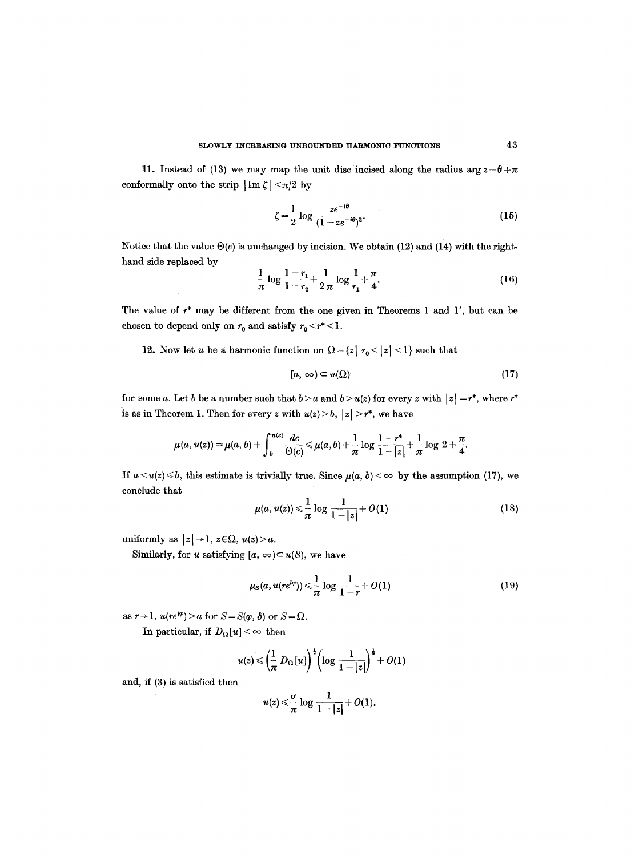11. Instead of (13) we may map the unit disc incised along the radius arg  $z=\theta+\pi$ conformally onto the strip  $|\text{Im }\zeta| < \pi/2$  by

$$
\zeta = \frac{1}{2} \log \frac{ze^{-i\theta}}{(1 - ze^{-i\theta})^2}.
$$
 (15)

Notice that the value  $\Theta(c)$  is unchanged by incision. We obtain (12) and (14) with the righthand side replaced by

$$
\frac{1}{\pi}\log\frac{1-r_1}{1-r_2} + \frac{1}{2\pi}\log\frac{1}{r_1} + \frac{\pi}{4}.
$$
 (16)

The value of r\* may be different from the one given in Theorems 1 and 1', but can be chosen to depend only on  $r_0$  and satisfy  $r_0 < r^* < 1$ .

12. Now let u be a harmonic function on  $\Omega = \{z \mid r_0 \leq |z| \leq 1\}$  such that

$$
[a,\,\infty)\subset u(\Omega)\tag{17}
$$

for some a. Let b be a number such that  $b > a$  and  $b > u(z)$  for every z with  $|z| = r^*$ , where  $r^*$ is as in Theorem 1. Then for every z with  $u(z) > b$ ,  $|z| > r^*$ , we have

$$
\mu(a, u(z)) = \mu(a, b) + \int_{b}^{u(z)} \frac{dc}{\Theta(c)} \leq \mu(a, b) + \frac{1}{\pi} \log \frac{1-r^*}{1-|z|} + \frac{1}{\pi} \log 2 + \frac{\pi}{4}.
$$

If  $a < u(z) \leq b$ , this estimate is trivially true. Since  $\mu(a, b) < \infty$  by the assumption (17), we conclude that

$$
\mu(a, u(z)) \leq \frac{1}{\pi} \log \frac{1}{1-|z|} + O(1) \tag{18}
$$

uniformly as  $|z| \rightarrow 1$ ,  $z \in \Omega$ ,  $u(z) > a$ .

Similarly, for *u* satisfying  $[a, \infty) \subset u(S)$ , we have

$$
\mu_S(a, u(re^{i\varphi})) \leq \frac{1}{\pi} \log \frac{1}{1-r} + O(1) \tag{19}
$$

as  $r \rightarrow 1$ ,  $u(re^{i\varphi}) > a$  for  $S = S(\varphi, \delta)$  or  $S = \Omega$ .

In particular, if  $D_{\Omega}[u] < \infty$  then

$$
u(z) \leqslant \left(\frac{1}{\pi} D_{\Omega}[u]\right)^{\frac{1}{2}} \left(\log \frac{1}{1-|z|}\right)^{\frac{1}{2}} + O(1)
$$

and, if (3) is satisfied then

$$
u(z) \leqslant \frac{\sigma}{\pi} \log \frac{1}{1-|z|} + O(1).
$$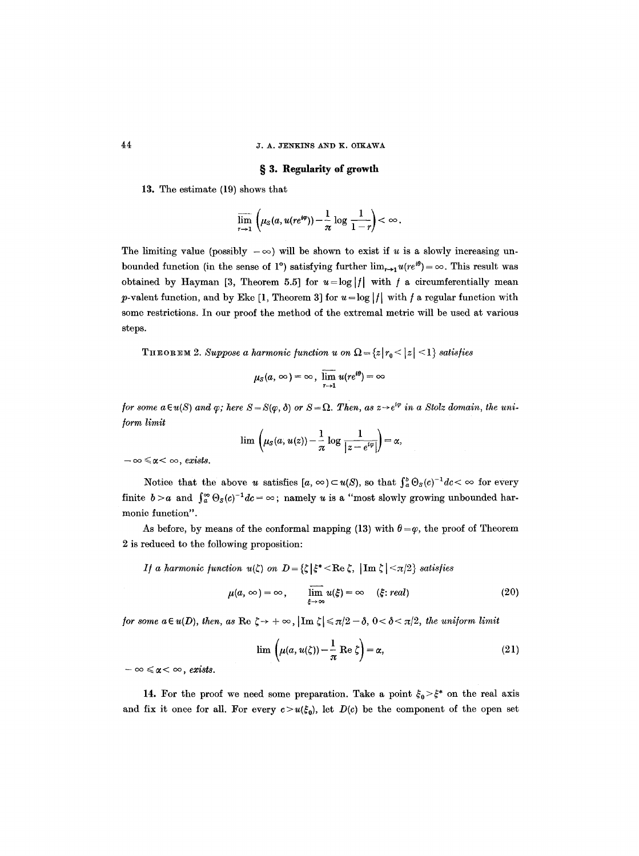## 44 J. A. JENKINS AND K. OIKAWA

## § 3. Regularity of growth

13. The estimate (19) shows that

$$
\overline{\lim_{r\to 1}}\left(\mu_S(a,u(re^{i\varphi}))-\frac{1}{\pi}\log\frac{1}{1-r}\right)<\infty.
$$

The limiting value (possibly  $-\infty$ ) will be shown to exist if u is a slowly increasing unbounded function (in the sense of 1<sup>o</sup>) satisfying further  $\lim_{r\to 1}u(re^{i\theta})=\infty$ . This result was obtained by Hayman [3, Theorem 5.5] for  $u = \log |f|$  with f a circumferentially mean p-valent function, and by Eke [1, Theorem 3] for  $u = \log |f|$  with f a regular function with some restrictions. In our proof the method of the extremal metric will be used at various steps.

THEOREM 2. Suppose a harmonic function u on  $\Omega = \{z | r_0 < |z| < 1\}$  satisfies

$$
\mu_S(a,\infty)=\infty,\,\,\overline{\lim\limits_{r\to 1}}\,u(re^{i\theta})=\infty
$$

*for some a* $\in$ *u(S) and*  $\varphi$ *; here S*=*S(* $\varphi$ *,*  $\delta$ *) or S*= $\Omega$ *. Then, as z* $\rightarrow$ *e*<sup>*i* $\varphi$ </sup> *in a Stolz domain, the uni-/orm limit* 

$$
\lim \left(\mu_S(a, u(z)) - \frac{1}{\pi} \log \frac{1}{|z - e^{i\varphi}|}\right) = \alpha,
$$

 $-\infty \le \alpha < \infty$ , exists.

Notice that the above u satisfies  $[a, \infty) \subset u(S)$ , so that  $\int_a^b \Theta_s(c)^{-1} dc < \infty$  for every finite  $b > a$  and  $\int_a^{\infty} \Theta_s(c)^{-1} dc = \infty$ ; namely u is a "most slowly growing unbounded harmonic function".

As before, by means of the conformal mapping (13) with  $\theta = \varphi$ , the proof of Theorem 2 is reduced to the following proposition:

*I/ a harmonic function u(* $\zeta$ *) on*  $D = {\zeta | \xi^* \lt R e \zeta, |\text{Im } \zeta| \lt \pi/2}$  *satisfies* 

$$
\mu(a,\infty)=\infty,\qquad \lim_{\xi\to\infty}u(\xi)=\infty\qquad (\xi;\text{ real})\qquad (20)
$$

*for some a*  $\in$  *u*(*D*), *then, as*  $\text{Re } \zeta \rightarrow +\infty$ ,  $|\text{Im } \zeta| \leq \pi/2 - \delta$ ,  $0 < \delta < \pi/2$ , *the uniform limit* 

$$
\lim_{\lambda} \left( \mu(a, u(\zeta)) - \frac{1}{\pi} \operatorname{Re} \zeta \right) = \alpha, \tag{21}
$$

 $-\infty \leqslant \alpha < \infty$ , exists.

14. For the proof we need some preparation. Take a point  $\xi_0 > \xi^*$  on the real axis and fix it once for all. For every  $c > u(\xi_0)$ , let  $D(c)$  be the component of the open set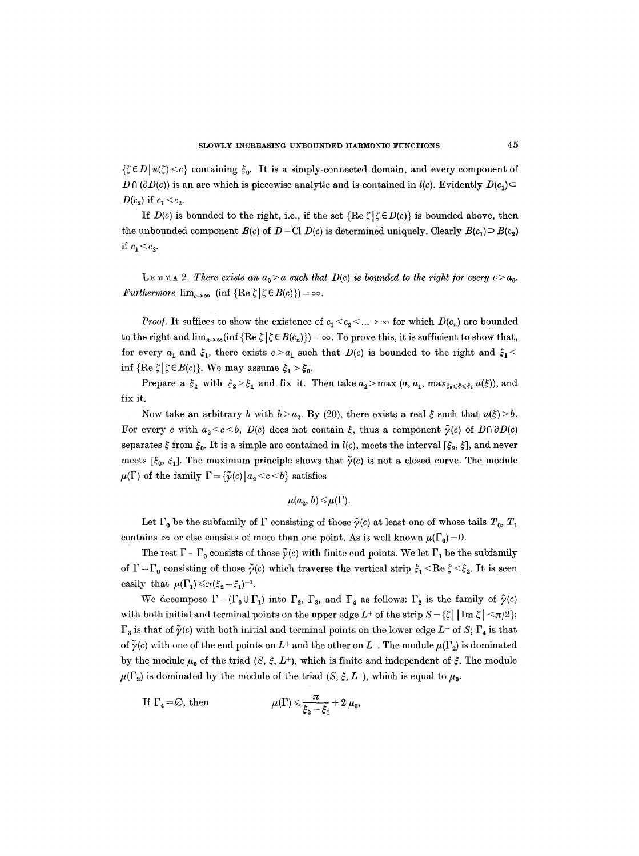$\{\zeta \in D | u(\zeta) < c\}$  containing  $\xi_0$ . It is a simply-connected domain, and every component of  $D \cap (\partial D(c))$  is an arc which is piecewise analytic and is contained in  $l(c)$ . Evidently  $D(c_1)$  $D(c_2)$  if  $c_1 < c_2$ .

If  $D(c)$  is bounded to the right, i.e., if the set  ${Re \zeta|\zeta \in D(c)}$  is bounded above, then the unbounded component  $B(c)$  of  $D - \text{Cl } D(c)$  is determined uniquely. Clearly  $B(c_1) \supset B(c_2)$ if  $c_1 < c_2$ .

LEMMA 2. *There exists an*  $a_0 > a$  *such that D(c) is bounded to the right for every*  $c > a_0$ *. Furthermore*  $\lim_{c\to\infty}$  (inf  $\{\text{Re }\zeta \mid \zeta \in B(c)\}\) = \infty$ .

*Proof.* It suffices to show the existence of  $c_1 < c_2 < ... \rightarrow \infty$  for which  $D(c_n)$  are bounded to the right and  $\lim_{n\to\infty} (\inf {\{ \text{Re } \zeta \mid \zeta \in B(c_n) \}}) = \infty$ . To prove this, it is sufficient to show that, for every  $a_1$  and  $\xi_1$ , there exists  $c > a_1$  such that  $D(c)$  is bounded to the right and  $\xi_1$  < inf  ${Re \zeta |\zeta \in B(c)}$ . We may assume  $\xi_1 > \xi_0$ .

Prepare a  $\xi_2$  with  $\xi_2>\xi_1$  and fix it. Then take  $a_2>$  max $(a, a_1, \max_{\xi_0\leqslant\xi\leqslant\xi_1}u(\xi))$ , and fix it.

Now take an arbitrary b with  $b > a_2$ . By (20), there exists a real  $\xi$  such that  $u(\xi) > b$ . For every c with  $a_2 < c < b$ ,  $D(c)$  does not contain  $\xi$ , thus a component  $\tilde{\gamma}(c)$  of  $D \cap \partial D(c)$ separates  $\xi$  from  $\xi_0$ . It is a simple arc contained in *l(c)*, meets the interval  $[\xi_2, \xi]$ , and never meets  $[\xi_0, \xi_1]$ . The maximum principle shows that  $\tilde{\gamma}(c)$  is not a closed curve. The module  $\mu(\Gamma)$  of the family  $\Gamma = {\tilde{\gamma}(c) | a_2 < c < b}$  satisfies

$$
\mu(a_2, b) \leq \mu(\Gamma).
$$

Let  $\Gamma_0$  be the subfamily of  $\Gamma$  consisting of those  $\tilde{\gamma}(c)$  at least one of whose tails  $T_0$ ,  $T_1$ contains  $\infty$  or else consists of more than one point. As is well known  $\mu(\Gamma_0)=0$ .

The rest  $\Gamma - \Gamma_0$  consists of those  $\tilde{\gamma}(c)$  with finite end points. We let  $\Gamma_1$  be the subfamily of  $\Gamma - \Gamma_0$  consisting of those  $\tilde{\gamma}(c)$  which traverse the vertical strip  $\xi_1 < \text{Re }\zeta < \xi_2$ . It is seen easily that  $\mu(\Gamma_1) \leq \pi (\xi_2 - \xi_1)^{-1}$ .

We decompose  $\Gamma-(\Gamma_0\cup\Gamma_1)$  into  $\Gamma_2$ ,  $\Gamma_3$ , and  $\Gamma_4$  as follows:  $\Gamma_2$  is the family of  $\tilde{\gamma}(c)$ with both initial and terminal points on the upper edge  $L^+$  of the strip  $S = \{\zeta | \lim \zeta \leq \pi/2 \};$  $\Gamma_3$  is that of  $\tilde{\gamma}(c)$  with both initial and terminal points on the lower edge L- of S;  $\Gamma_4$  is that of  $\tilde{\gamma}(c)$  with one of the end points on  $L^+$  and the other on  $L^-$ . The module  $\mu(\Gamma_2)$  is dominated by the module  $\mu_0$  of the triad  $(S, \xi, L^+)$ , which is finite and independent of  $\xi$ . The module  $\mu(\Gamma_3)$  is dominated by the module of the triad  $(S, \xi, L^-)$ , which is equal to  $\mu_0$ .

If 
$$
\Gamma_4 = \emptyset
$$
, then  $\mu(\Gamma) \leq \frac{\pi}{\xi_2 - \xi_1} + 2 \mu_0$ ,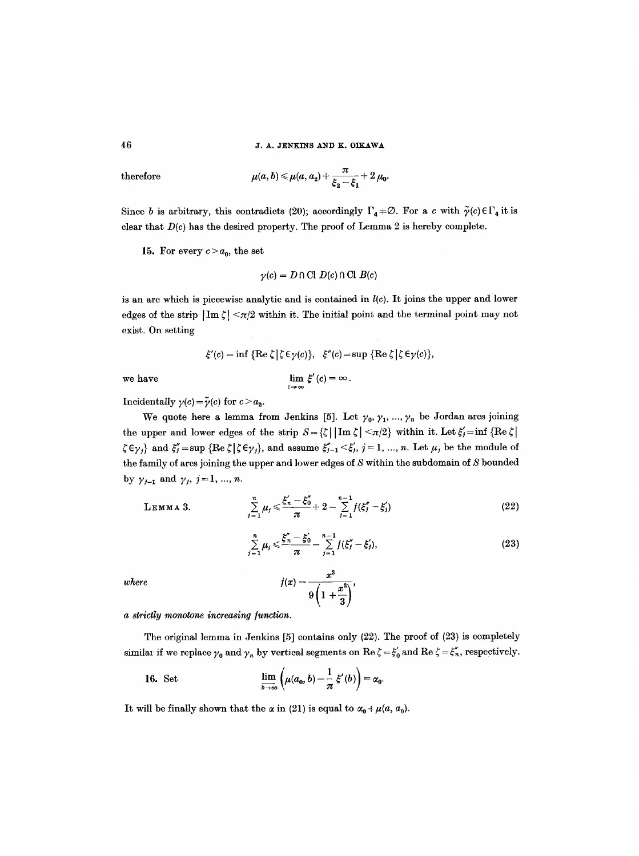**46 J. A. JENKINS AND K. OIKAWA** 

 $therefore$ 

$$
\mu(a,b) \leq \mu(a,a_2) + \frac{\pi}{\xi_2 - \xi_1} + 2 \mu_0.
$$

Since b is arbitrary, this contradicts (20); accordingly  $\Gamma_4 + \emptyset$ . For a c with  $\tilde{\gamma}(c) \in \Gamma_4$  it is clear that  $D(c)$  has the desired property. The proof of Lemma 2 is hereby complete.

15. For every  $c > a_0$ , the set

$$
\gamma(c) = D \cap \text{Cl } D(c) \cap \text{Cl } B(c)
$$

is an arc which is piecewise analytic and is contained in *l(c).* It joins the upper and lower edges of the strip  $|\text{Im }\zeta| < \pi/2$  within it. The initial point and the terminal point may not exist. On setting

$$
\xi'(c) = \inf \{ \text{Re } \zeta \mid \zeta \in \gamma(c) \}, \quad \xi''(c) = \sup \{ \text{Re } \zeta \mid \zeta \in \gamma(c) \},
$$

$$
\lim_{c \to \infty} \xi'(c) = \infty.
$$

we have

Incidentally  $\gamma(c) = \tilde{\gamma}(c)$  for  $c > a_2$ .

We quote here a lemma from Jenkins [5]. Let  $\gamma_0, \gamma_1, ..., \gamma_n$  be Jordan arcs joining the upper and lower edges of the strip  $S = \{\zeta \mid \text{Im } \zeta \leq \pi/2 \}$  within it. Let  $\xi_j = \inf \{\text{Re } \zeta \}$  $\zeta \in \gamma_j$  and  $\xi_j' = \sup \{ \text{Re } \zeta | \zeta \in \gamma_j \}$ , and assume  $\xi_{j-1}' < \xi_j', j = 1, ..., n$ . Let  $\mu_j$  be the module of the family of arcs joining the upper and lower edges of  $S$  within the subdomain of  $S$  bounded by  $\gamma_{j-1}$  and  $\gamma_j$ ,  $j = 1, ..., n$ .

$$
\mathsf{L}\mathbf{EMMA}\;3.
$$

LEMMA 3. 
$$
\sum_{j=1}^{n} \mu_j \leq \frac{\xi_n^2 - \xi_0^2}{\pi} + 2 - \sum_{j=1}^{n-1} f(\xi_j^2 - \xi_j^2)
$$
 (22)

$$
\sum_{j=1}^{n} \mu_j \leqslant \frac{\xi_n'' - \xi_0'}{\pi} - \sum_{j=1}^{n-1} f(\xi_j'' - \xi_j'),\tag{23}
$$

 $where$   $f(s)$ 

$$
x)=\frac{x^3}{9\left(1+\frac{x^2}{3}\right)},
$$

 $a$  strictly monotone increasing function.

The original lemma in Jenkins [5] contains only (22). The proof of (23) is completely similar if we replace  $\gamma_0$  and  $\gamma_n$  by vertical segments on Re  $\zeta = \xi'_0$  and Re  $\zeta = \xi''_n$ , respectively.

16. Set 
$$
\lim_{b\to\infty}\left(\mu(a_0,b)-\frac{1}{\pi}\xi'(b)\right)=\alpha_0.
$$

It will be finally shown that the  $\alpha$  in (21) is equal to  $\alpha_0 + \mu(a, a_0)$ .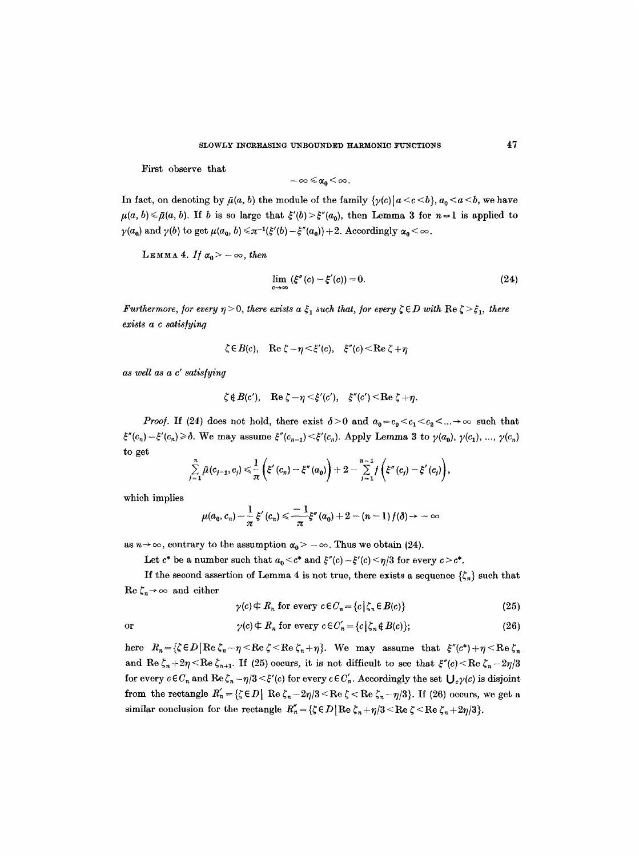First observe that

$$
-\infty\,{\leqslant}\,\alpha_0\,{<}\,\infty\,.
$$

In fact, on denoting by  $\bar{\mu}(a, b)$  the module of the family  $\{\gamma(c) | a < c < b\}$ ,  $a_0 < a < b$ , we have  $\mu(a, b) \le \bar{\mu}(a, b)$ . If b is so large that  $\xi'(b) > \xi''(a_0)$ , then Lemma 3 for  $n = 1$  is applied to  $\gamma(a_0)$  and  $\gamma(b)$  to get  $\mu(a_0, b) \le \pi^{-1}(\xi'(b) - \xi''(a_0)) + 2$ . Accordingly  $\alpha_0 < \infty$ .

LEMMA 4. *If*  $\alpha_0 > -\infty$ , *then* 

$$
\lim_{c\to\infty} \left(\xi''(c) - \xi'(c)\right) = 0. \tag{24}
$$

*Furthermore, for every*  $\eta > 0$ *, there exists a*  $\xi_1$  such that, *for every*  $\zeta \in D$  with  $\text{Re } \zeta > \xi_1$ , there *exists a c satis]ying* 

$$
\zeta \in B(c)
$$
, Re  $\zeta - \eta \leq \xi'(c)$ ,  $\xi''(c) \leq \text{Re } \zeta + \eta$ 

*as well as a c" satis/ying* 

$$
\zeta \notin B(c'), \quad \text{Re } \zeta - \eta \leq \xi'(c'), \quad \xi''(c') \leq \text{Re } \zeta + \eta.
$$

*Proof.* If (24) does not hold, there exist  $\delta > 0$  and  $a_0 = c_0 < c_1 < c_2 < ... \rightarrow \infty$  such that  $\xi''(c_n)-\xi'(c_n) \geq \delta$ . We may assume  $\xi''(c_{n-1}) \leq \xi'(c_n)$ . Apply Lemma 3 to  $\gamma(a_0), \gamma(c_1), ..., \gamma(c_n)$ to get

$$
\sum_{j=1}^n \tilde{\mu}(c_{j-1},c_j) \leq \frac{1}{\pi} \left( \xi'(c_n) - \xi''(a_0) \right) + 2 - \sum_{j=1}^{n-1} f \left( \xi''(c_j) - \xi'(c_j) \right),
$$

which implies

$$
\mu(a_0,c_n)-\frac{1}{\pi}\xi'(c_n)\leqslant \frac{-1}{\pi}\xi''(a_0)+2-(n-1)f(\delta)\to -\infty
$$

as  $n \to \infty$ , contrary to the assumption  $\alpha_0 > -\infty$ . Thus we obtain (24).

Let  $c^*$  be a number such that  $a_0 < c^*$  and  $\xi''(c) - \xi'(c) < \eta/3$  for every  $c > c^*$ .

If the second assertion of Lemma 4 is not true, there exists a sequence  $\{\zeta_n\}$  such that  $\operatorname{Re} \zeta_n \to \infty$  and either

$$
\gamma(c) \notin R_n \text{ for every } c \in C_n = \{c \mid \zeta_n \in B(c)\}\tag{25}
$$

or 
$$
\gamma(c) \n\in R_n \text{ for every } c \in C'_n = \{c \mid \zeta_n \notin B(c) \};
$$
 (26)

here  $R_n = {\zeta \in D | \text{Re} \zeta_n - \eta \leq \text{Re} \zeta \leq \text{Re} \zeta_n + \eta }$ . We may assume that  ${\xi''(c^*) + \eta \leq \text{Re} \zeta_n}$ and Re  $\zeta_n+2\eta \le \text{Re }\zeta_{n+1}$ . If (25) occurs, it is not difficult to see that  $\xi''(c) \le \text{Re }\zeta_n-2\eta/3$ for every  $c \in C_n$  and  $\text{Re}\,\zeta_n - \eta/3 \leq \xi'(c)$  for every  $c \in C'_n$ . Accordingly the set  $\bigcup_c \gamma(c)$  is disjoint from the rectangle  $R'_n = {\{\zeta \in D \mid \text{Re } \zeta_n - 2\eta/3 < \text{Re } \zeta < \text{Re } \zeta_n - \eta/3 \}}$ . If (26) occurs, we get a similar conclusion for the rectangle  $R_n'' = {\zeta \in D \mid \text{Re }\zeta_n + \eta/3 < \text{Re }\zeta < \text{Re }\zeta_n + 2\eta/3 }$ .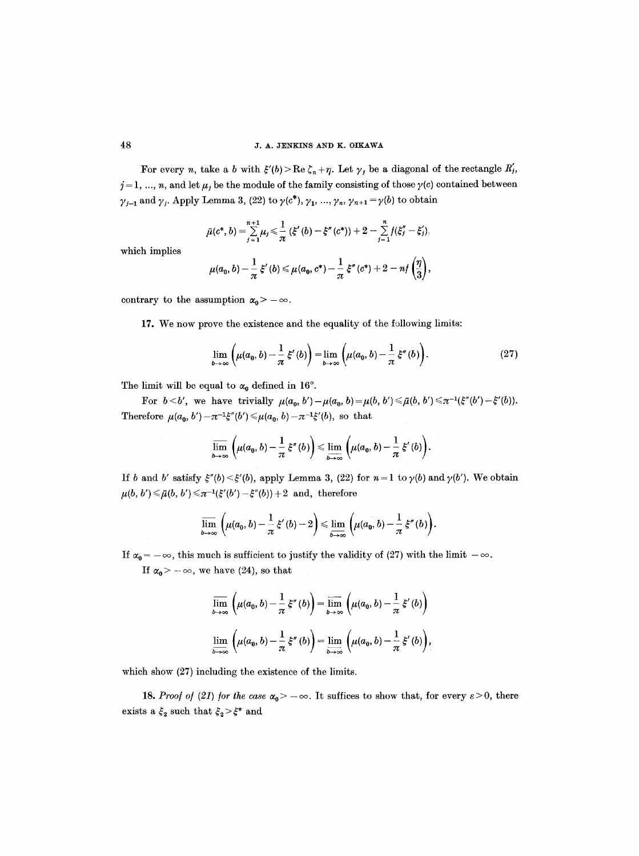### 48 **a.m. a.m. a.x. a.x. a.x. a**.x. and k. oikawa

For every *n*, take a b with  $\zeta'(b) > \text{Re }\zeta_n + \eta$ . Let  $\gamma_j$  be a diagonal of the rectangle  $R'_j$ ,  $j = 1, ..., n$ , and let  $\mu_j$  be the module of the family consisting of those  $\gamma(c)$  contained between  $\gamma_{j-1}$  and  $\gamma_j$ . Apply Lemma 3, (22) to  $\gamma(c^*)$ ,  $\gamma_1$ , ...,  $\gamma_n$ ,  $\gamma_{n+1} = \gamma(b)$  to obtain

$$
\bar{\mu}(c^*,b)=\sum_{j=1}^{n+1}\mu_j\leq \frac{1}{\pi}(\xi'(b)-\xi''(c^*))+2-\sum_{j=1}^{n}f(\xi''_j-\xi'_j).
$$

which implies

$$
\mu(a_0, b) - \frac{1}{\pi} \xi'(b) \leq \mu(a_0, c^*) - \frac{1}{\pi} \xi''(c^*) + 2 - n f\left(\frac{\eta}{3}\right),
$$

contrary to the assumption  $\alpha_0$  > - $\infty$ .

17. We now prove the existence and the equality of the following limits:

$$
\lim_{b\to\infty}\left(\mu(a_0,b)-\frac{1}{\pi}\,\xi'(b)\right)=\lim_{b\to\infty}\left(\mu(a_0,b)-\frac{1}{\pi}\,\xi''(b)\right).
$$
\n(27)

The limit will be equal to  $\alpha_0$  defined in 16°.

For  $b < b'$ , we have trivially  $\mu(a_0, b') - \mu(a_0, b) = \mu(b, b') \leq \bar{\mu}(b, b') \leq \pi^{-1}(\xi''(b') - \xi'(b)).$ Therefore  $\mu(a_0, b') - \pi^{-1}\xi''(b') \leq \mu(a_0, b) - \pi^{-1}\xi'(b)$ , so that

$$
\overline{\lim}_{b\to\infty}\left(\mu(a_0,b)-\frac{1}{\pi}\,\xi''(b)\right)\leq \lim_{b\to\infty}\left(\mu(a_0,b)-\frac{1}{\pi}\,\xi'(b)\right).
$$

If b and b' satisfy  $\xi''(b) < \xi'(b)$ , apply Lemma 3, (22) for  $n = 1$  to  $\gamma(b)$  and  $\gamma(b')$ . We obtain  $\mu(b, b') \leq \bar{\mu}(b, b') \leq \pi^{-1}(\xi'(b') - \xi''(b)) + 2$  and, therefore

$$
\overline{\lim}_{b\to\infty}\left(\mu(a_0,b)-\frac{1}{\pi}\,\xi'(b)-2\right)\leqslant \underline{\lim}_{b\to\infty}\left(\mu(a_0,b)-\frac{1}{\pi}\,\xi''(b)\right).
$$

If  $\alpha_0 = -\infty$ , this much is sufficient to justify the validity of (27) with the limit  $-\infty$ . If  $\alpha_0$  >  $-\infty$ , we have (24), so that

$$
\overline{\lim}_{b \to \infty} \left( \mu(a_0, b) - \frac{1}{\pi} \xi''(b) \right) = \overline{\lim}_{b \to \infty} \left( \mu(a_0, b) - \frac{1}{\pi} \xi'(b) \right)
$$

$$
\underline{\lim}_{b \to \infty} \left( \mu(a_0, b) - \frac{1}{\pi} \xi''(b) \right) = \underline{\lim}_{b \to \infty} \left( \mu(a_0, b) - \frac{1}{\pi} \xi'(b) \right),
$$

which show (27) including the existence of the limits.

18. *Proof of (21) for the case*  $\alpha_0 > -\infty$ . It suffices to show that, for every  $\varepsilon > 0$ , there exists a  $\xi_2$  such that  $\xi_2 > \xi^*$  and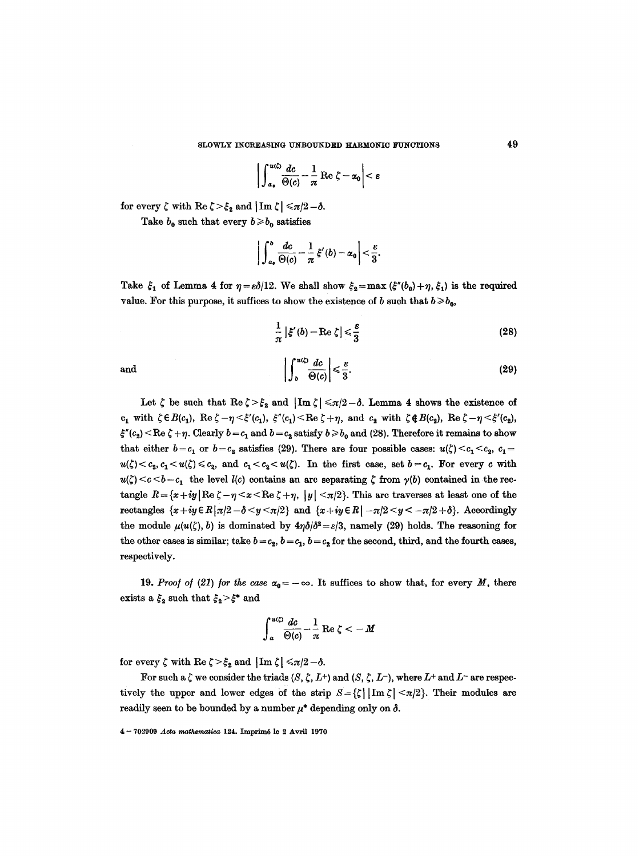$$
\left|\int_{a_0}^{u(\zeta)}\frac{dc}{\Theta(c)}-\frac{1}{\pi}\operatorname{Re}\zeta-\alpha_0\right|<\varepsilon
$$

for every  $\zeta$  with  $\text{Re }\zeta > \xi_2$  and  $|\text{Im }\zeta| \leq \pi/2-\delta$ .

Take  $b_0$  such that every  $b \geq b_0$  satisfies

$$
\bigg|\int_{a_0}^{b}\frac{dc}{\Theta(c)}-\frac{1}{\pi}\,\xi'(b)-\alpha_0\bigg|<\frac{\varepsilon}{3}.
$$

Take  $\xi_1$  of Lemma 4 for  $\eta = \varepsilon \delta/12$ . We shall show  $\xi_2 = \max (\xi''(b_0) + \eta, \xi_1)$  is the required value. For this purpose, it suffices to show the existence of b such that  $b \ge b_0$ ,

$$
\frac{1}{\pi} \left| \xi'(b) - \text{Re} \zeta \right| \leq \frac{\varepsilon}{3}
$$
 (28)

and 
$$
\left| \int_{b}^{u(\zeta)} \frac{dc}{\Theta(c)} \right| \leq \frac{\varepsilon}{3}.
$$
 (29)

Let  $\zeta$  be such that  $\text{Re }\zeta > \xi_2$  and  $|\text{Im }\zeta| \leq \pi/2-\delta$ . Lemma 4 shows the existence of  $c_1$  with  $\zeta \in B(c_1)$ , Re  $\zeta - \eta \leq \zeta'(c_1)$ ,  $\xi''(c_1) \leq \text{Re }\zeta + \eta$ , and  $c_2$  with  $\zeta \notin B(c_2)$ , Re  $\zeta - \eta \leq \zeta'(c_2)$ ,  $\xi''(c_2) < \text{Re }\zeta + \eta$ . Clearly  $b = c_1$  and  $b = c_2$  satisfy  $b \ge b_0$  and (28). Therefore it remains to show that either  $b=c_1$  or  $b=c_2$  satisfies (29). There are four possible cases:  $u(\zeta) < c_1 < c_2$ ,  $c_1 =$  $u(\zeta) < c_2, c_1 < u(\zeta) \leq c_2$ , and  $c_1 < c_2 < u(\zeta)$ . In the first case, set  $b = c_1$ . For every c with  $u(\zeta) < c < b - c_1$  the level  $l(c)$  contains an arc separating  $\zeta$  from  $\gamma(b)$  contained in the rectangle  $R = \{x+iy \mid \text{Re }\zeta - \eta \le x \le \text{Re }\zeta +\eta, |y| \le \pi/2\}$ . This arc traverses at least one of the rectangles  $\{x+iy\in R | \pi/2 - \delta \leq y \leq \pi/2 \}$  and  $\{x+iy\in R | -\pi/2 \leq y \leq -\pi/2 + \delta \}$ . Accordingly the module  $\mu(u(\zeta), b)$  is dominated by  $4\eta\delta/\delta^2 = \varepsilon/3$ , namely (29) holds. The reasoning for the other cases is similar; take  $b = c_2$ ,  $b = c_1$ ,  $b = c_2$  for the second, third, and the fourth cases, respectively.

19. *Proof of (21) for the case*  $\alpha_0 = -\infty$ . It suffices to show that, for every M, there exists a  $\xi_2$  such that  $\xi_2 > \xi^*$  and

$$
\int_{a}^{u(\zeta)} \frac{dc}{\Theta(c)} - \frac{1}{\pi} \operatorname{Re} \zeta < -M
$$

for every  $\zeta$  with  $\text{Re }\zeta > \xi_2$  and  $|\text{Im }\zeta| \leq \pi/2-\delta$ .

For such a  $\zeta$  we consider the triads  $(S, \zeta, L^+)$  and  $(S, \zeta, L^-)$ , where  $L^+$  and  $L^-$  are respectively the upper and lower edges of the strip  $S = \{\zeta | \text{Im } \zeta | \leq \pi/2 \}$ . Their modules are readily seen to be bounded by a number  $\mu^*$  depending only on  $\delta$ .

 $4 - 702909$  Acta mathematica 124. Imprimé le 2 Avril 1970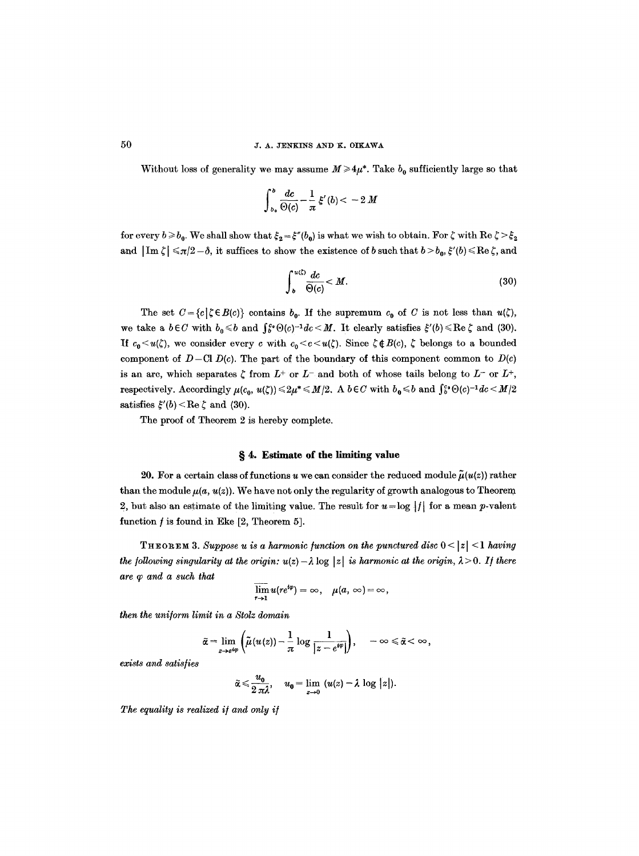Without loss of generality we may assume  $M \ge 4\mu^*$ . Take  $b_0$  sufficiently large so that

$$
\int_{b_0}^b \frac{dc}{\Theta(c)} - \frac{1}{\pi} \xi'(b) < -2 M
$$

for every  $b \ge b_0$ . We shall show that  $\xi_2 = \xi''(b_0)$  is what we wish to obtain. For  $\zeta$  with Re  $\zeta > \xi_2$ and  $\left|\text{Im }\zeta\right| \leqslant \pi/2 - \delta$ , it suffices to show the existence of b such that  $b > b_0$ ,  $\xi'(b) \leqslant \text{Re }\zeta$ , and

$$
\int_{b}^{u(\zeta)} \frac{dc}{\Theta(c)} < M. \tag{30}
$$

The set  $C = {c | \zeta \in B(c)}$  contains  $b_0$ . If the supremum  $c_0$  of C is not less than  $u(\zeta)$ , we take a  $b \in C$  with  $b_0 \leq b$  and  $\int_{b}^{c_0} \Theta(c)^{-1} dc \leq M$ . It clearly satisfies  $\xi'(b) \leq \text{Re } \zeta$  and (30). If  $c_0 \lt u(\zeta)$ , we consider every c with  $c_0 \lt c \lt u(\zeta)$ . Since  $\zeta \notin B(c)$ ,  $\zeta$  belongs to a bounded component of  $D-\text{Cl } D(c)$ . The part of the boundary of this component common to  $D(c)$ is an arc, which separates  $\zeta$  from  $L^+$  or  $L^-$  and both of whose tails belong to  $L^-$  or  $L^+$ , respectively. Accordingly  $\mu(c_0, u(\zeta)) \leq 2\mu^* \leq M/2$ . A  $b \in C$  with  $b_0 \leq b$  and  $\int_b^c \Theta(c)^{-1} dc < M/2$ satisfies  $\xi'(b) < \text{Re }\zeta$  and (30).

The proof of Theorem 2 is hereby complete.

#### **w 4. Estimate of the limiting value**

20. For a certain class of functions u we can consider the reduced module  $\tilde{\mu}(u(z))$  rather than the module  $\mu(a, u(z))$ . We have not only the regularity of growth analogous to Theorem 2, but also an estimate of the limiting value. The result for  $u = \log |f|$  for a mean p-valent function  $f$  is found in Eke  $[2,$  Theorem 5].

THEOREM 3. Suppose u is a harmonic function on the punctured disc  $0 < |z| < 1$  having *the following singularity at the origin:*  $u(z) - \lambda \log |z|$  *is harmonic at the origin,*  $\lambda > 0$ . If there *are q) and a such that* 

$$
\overline{\lim}_{r\to 1}u(re^{i\varphi})=\infty,\quad \mu(a,\infty)=\infty,
$$

*then the uniitorm limit in a Stolz domain* 

$$
\tilde{\alpha} = \lim_{z \to e^{i\varphi}} \left( \tilde{\mu}(u(z)) - \frac{1}{\pi} \log \frac{1}{|z - e^{i\varphi}|} \right), \quad -\infty \leq \tilde{\alpha} < \infty,
$$

*exists and satisities* 

$$
\tilde{\alpha} \leq \frac{u_0}{2 \pi \lambda}, \quad u_0 = \lim_{z \to 0} \left( u(z) - \lambda \log |z| \right).
$$

*The equality is realized i/and only i/*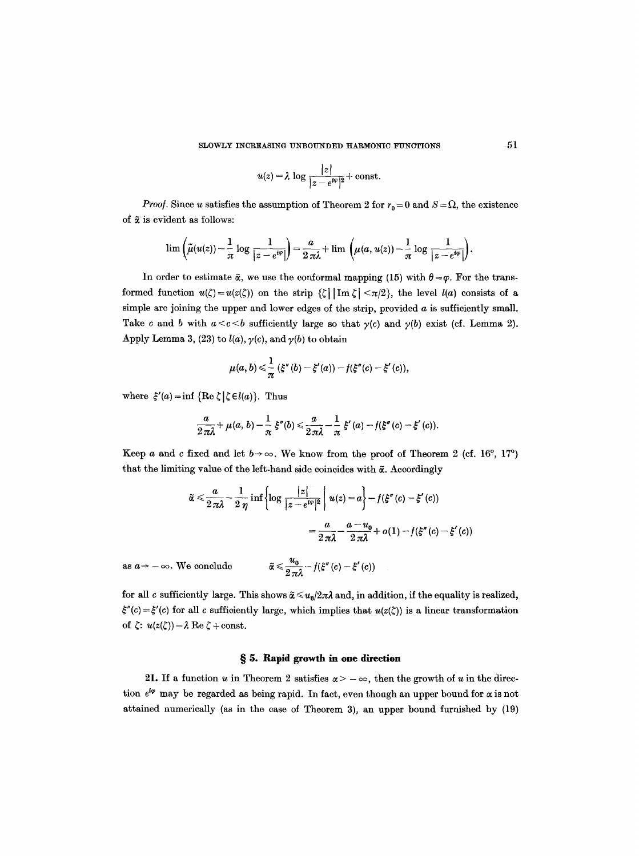SLOWLY INCREASING UNBOUNDED HARMONIC FUNCTIONS  $51$ 

$$
u(z) = \lambda \log \frac{|z|}{|z - e^{i\varphi}|^2} + \text{const.}
$$

*Proof.* Since u satisfies the assumption of Theorem 2 for  $r_0 = 0$  and  $S = \Omega$ , the existence of  $\tilde{\alpha}$  is evident as follows:

$$
\lim \left( \tilde{\mu}(u(z)) - \frac{1}{\pi} \log \frac{1}{|z - e^{i\varphi}|} \right) = \frac{a}{2\pi\lambda} + \lim \left( \mu(a, u(z)) - \frac{1}{\pi} \log \frac{1}{|z - e^{i\varphi}|} \right).
$$

In order to estimate  $\tilde{\alpha}$ , we use the conformal mapping (15) with  $\theta = \varphi$ . For the transformed function  $u(\zeta) = u(z(\zeta))$  on the strip  $\{\zeta \mid \text{Im }\zeta \mid \langle \pi/2 \rangle\}$ , the level  $l(a)$  consists of a simple arc joining the upper and lower edges of the strip, provided  $a$  is sufficiently small. Take c and b with  $a < c < b$  sufficiently large so that  $\gamma(c)$  and  $\gamma(b)$  exist (cf. Lemma 2). Apply Lemma 3, (23) to  $l(a)$ ,  $\gamma(c)$ , and  $\gamma(b)$  to obtain

$$
\mu(a,b) \leq \frac{1}{\pi} (\xi''(b) - \xi'(a)) - f(\xi''(c) - \xi'(c)),
$$

where  $\xi'(a) = \inf \{ \text{Re } \zeta | \zeta \in l(a) \}.$  Thus

$$
\frac{a}{2\pi\lambda}+\mu(a,\,b)-\frac{1}{\pi}\,\xi''(b)\leqslant\frac{a}{2\pi\lambda}-\frac{1}{\pi}\,\xi'(a)-f(\xi''(c)-\xi'(c)).
$$

Keep a and c fixed and let  $b \rightarrow \infty$ . We know from the proof of Theorem 2 (cf. 16<sup>o</sup>, 17<sup>o</sup>) that the limiting value of the left-hand side coincides with  $\tilde{\alpha}$ . Accordingly

$$
\tilde{\alpha} \leq \frac{a}{2\pi\lambda} - \frac{1}{2\eta} \inf \left\{ \log \frac{|z|}{|z - e^{i\varphi}|^2} \middle| \ u(z) = a \right\} - f(\xi''(c) - \xi'(c))
$$
\n
$$
= \frac{a}{2\pi\lambda} - \frac{a - u_0}{2\pi\lambda} + o(1) - f(\xi''(c) - \xi'(c))
$$
\nas  $a \to -\infty$ . We conclude\n
$$
\tilde{\alpha} \leq \frac{u_0}{2\pi\lambda} - f(\xi''(c) - \xi'(c))
$$

for all c sufficiently large. This shows  $\tilde{\alpha} \leq u_0/2\pi\lambda$  and, in addition, if the equality is realized,  $\xi''(c) = \xi'(c)$  for all c sufficiently large, which implies that  $u(z(\zeta))$  is a linear transformation of  $\zeta: u(z(\zeta)) = \lambda \operatorname{Re} \zeta + \text{const.}$ 

#### **w 5. Rapid growth in one direction**

21. If a function u in Theorem 2 satisfies  $\alpha$  >  $-\infty$ , then the growth of u in the direction  $e^{i\varphi}$  may be regarded as being rapid. In fact, even though an upper bound for  $\alpha$  is not attained numerically (as in the case of Theorem 3), an upper bound furnished by (19)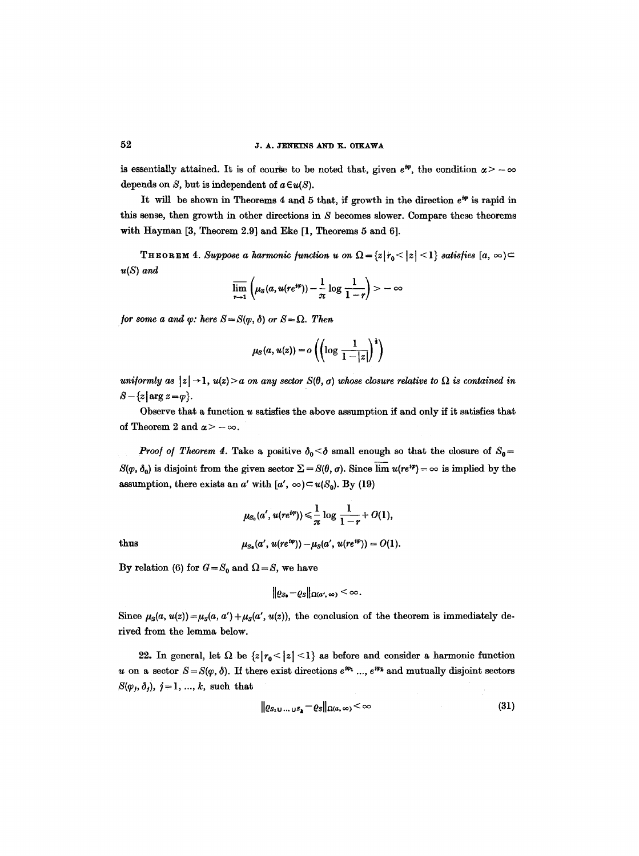is essentially attained. It is of course to be noted that, given  $e^{i\varphi}$ , the condition  $\alpha > -\infty$ depends on  $S$ , but is independent of  $a \in u(S)$ .

It will be shown in Theorems 4 and 5 that, if growth in the direction  $e^{i\varphi}$  is rapid in this sense, then growth in other directions in S becomes slower. Compare these theorems with Hayman [3, Theorem 2.9] and Eke [1, Theorems 5 and 6].

THEOREM 4. *Suppose a harmonic function u on*  $\Omega = \{z | r_0 < |z| < 1\}$  *satisfies*  $[a, \infty)$ *u(S) and* 

$$
\overline{\lim_{r\to 1}}\left(\mu_S(a,u(re^{i\varphi}))-\frac{1}{\pi}\log\frac{1}{1-r}\right)>\infty
$$

*for some a and*  $\varphi$ *: here*  $S = S(\varphi, \delta)$  *or*  $S = \Omega$ *. Then* 

$$
\mu_{S}(a, u(z)) = o\left(\left(\log \frac{1}{1-|z|}\right)^{\frac{1}{2}}\right)
$$

*uniformly as*  $|z| \rightarrow 1$ ,  $u(z) > a$  on any sector  $S(\theta, \sigma)$  whose closure relative to  $\Omega$  is contained in  $S - \{z \mid \arg z = \varphi\}.$ 

Observe that a function  $u$  satisfies the above assumption if and only if it satisfies that of Theorem 2 and  $\alpha$  >  $-\infty$ .

*Proof of Theorem 4.* Take a positive  $\delta_0 < \delta$  small enough so that the closure of  $S_0 =$  $S(\varphi, \delta_0)$  is disjoint from the given sector  $\Sigma = S(\theta, \sigma)$ . Since  $\lim u(re^{i\varphi}) = \infty$  is implied by the assumption, there exists an a' with  $[a', \infty) \subset u(S_0)$ . By (19)

$$
\mu_{S_0}(a',u(re^{i\varphi}))\leqslant \frac{1}{\pi}\log\frac{1}{1-r}+O(1),
$$

thus 
$$
\mu_{S_0}(a', u(re^{i\varphi})) - \mu_S(a', u(re^{i\varphi})) = O(1).
$$

By relation (6) for  $G = S_0$  and  $\Omega = S$ , we have

$$
\|\varrho_{S_0}-\varrho_S\|_{\Omega(a',\infty)}<\infty.
$$

Since  $\mu_S(a, u(z)) = \mu_S(a, a') + \mu_S(a', u(z))$ , the conclusion of the theorem is immediately derived from the lemma below.

22. In general, let  $\Omega$  be  $\{z | r_0 < |z| < 1\}$  as before and consider a harmonic function u on a sector  $S = S(\varphi, \delta)$ . If there exist directions  $e^{i\varphi_1}$  ...,  $e^{i\varphi_k}$  and mutually disjoint sectors  $S(\varphi_j, \delta_j), j=1, ..., k$ , such that

$$
\| \varrho_{S_1 \cup \ldots \cup S_k} - \varrho_S \|_{\Omega(a,\infty)} < \infty \tag{31}
$$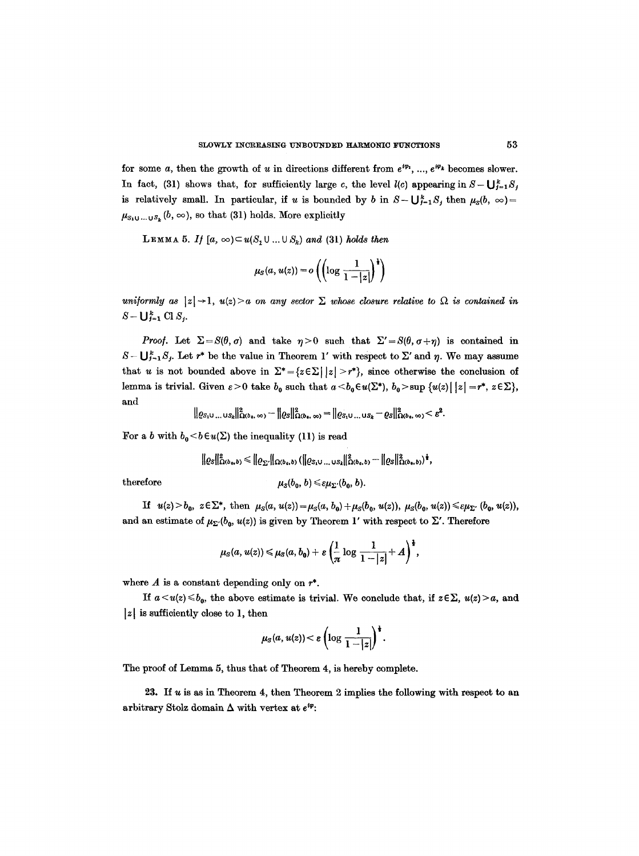for some a, then the growth of u in directions different from  $e^{i\varphi_1}, ..., e^{i\varphi_k}$  becomes slower. In fact, (31) shows that, for sufficiently large c, the level  $l(c)$  appearing in  $S - \bigcup_{j=1}^{k} S_j$ is relatively small. In particular, if u is bounded by b in  $S - \bigcup_{j=1}^{k} S_j$  then  $\mu_S(b, \infty) =$  $\mu_{S_1 \cup \ldots \cup S_k}(b, \infty)$ , so that (31) holds. More explicitly

**LEMMA 5.** If  $[a, \infty) \subset u(S_1 \cup ... \cup S_k)$  and (31) holds then

$$
\mu_{S}(a, u(z)) = o\left(\left(\log \frac{1}{1-|z|}\right)^{\frac{1}{2}}\right)
$$

*uniformly as*  $|z| \rightarrow 1$ ,  $u(z) > a$  *on any sector*  $\Sigma$  *whose closure relative to*  $\Omega$  *is contained in*  $S - \bigcup_{j=1}^{k}$  Cl  $S_j$ .

*Proof.* Let  $\Sigma = S(\theta, \sigma)$  and take  $\eta > 0$  such that  $\Sigma' = S(\theta, \sigma + \eta)$  is contained in  $S - \bigcup_{i=1}^{k} S_i$ . Let  $r^*$  be the value in Theorem 1' with respect to  $\Sigma'$  and  $\eta$ . We may assume that u is not bounded above in  $\Sigma^* = \{z \in \Sigma \mid |z| > r^*\}$ , since otherwise the conclusion of lemma is trivial. Given  $\varepsilon > 0$  take  $b_0$  such that  $a < b_0 \in u(\Sigma^*), b_0 > \sup \{u(z) | |z| = r^*, z \in \Sigma\}$ , and

$$
\| \varrho_{S_1} \mathbf{u} \dots \mathbf{u}_{S_k} \|^2_{\Omega(b_0, \infty)} - \| \varrho_S \|^2_{\Omega(b_0, \infty)} = \| \varrho_{S_1} \mathbf{u} \dots \mathbf{u}_{S_k} - \varrho_S \|^2_{\Omega(b_0, \infty)} < \varepsilon^2.
$$

For a b with  $b_0 < b \in u(\Sigma)$  the inequality (11) is read

$$
\|\varrho_{\mathcal{S}}\|_{\Omega(b_0,b)}^2 \leq \|\varrho_{\Sigma'}\|_{\Omega(b_0,b)} \left(\|\varrho_{\mathcal{S}_1\cup...\cup\mathcal{S}_k}\|_{\Omega(b_0,b)}^2 - \|\varrho_{\mathcal{S}}\|_{\Omega(b_0,b)}^2\right)^{\frac{1}{2}},
$$

 $therefore$ 

$$
\mu_{S}(b_{0},b)\leqslant \varepsilon\mu_{\Sigma'}(b_{0},b).
$$

If  $u(z) > b_0$ ,  $z \in \Sigma^*$ , then  $\mu_S(a, u(z)) = \mu_S(a, b_0) + \mu_S(b_0, u(z))$ ,  $\mu_S(b_0, u(z)) \leq \varepsilon \mu_{\Sigma^*} (b_0, u(z))$ , and an estimate of  $\mu_{\Sigma'}(b_0, u(z))$  is given by Theorem 1' with respect to  $\Sigma'$ . Therefore

$$
\mu_S(a,u(z))\leq \mu_S(a,b_0)+\varepsilon\left(\frac{1}{\pi}\log\frac{1}{1-|z|}+A\right)^{\frac{1}{2}},
$$

where  $A$  is a constant depending only on  $r^*$ .

*If*  $a \lt u(z) \leq b_0$ , the above estimate is trivial. We conclude that, if  $z \in \Sigma$ ,  $u(z) > a$ , and  $|z|$  is sufficiently close to 1, then

$$
\mu_{S}(a, u(z)) < \varepsilon \left(\log \frac{1}{1-|z|}\right)^{\frac{1}{2}}.
$$

The proof of Lemma 5, thus that of Theorem 4, is hereby complete.

23. If  $u$  is as in Theorem 4, then Theorem 2 implies the following with respect to an arbitrary Stolz domain  $\Delta$  with vertex at  $e^{i\varphi}$ :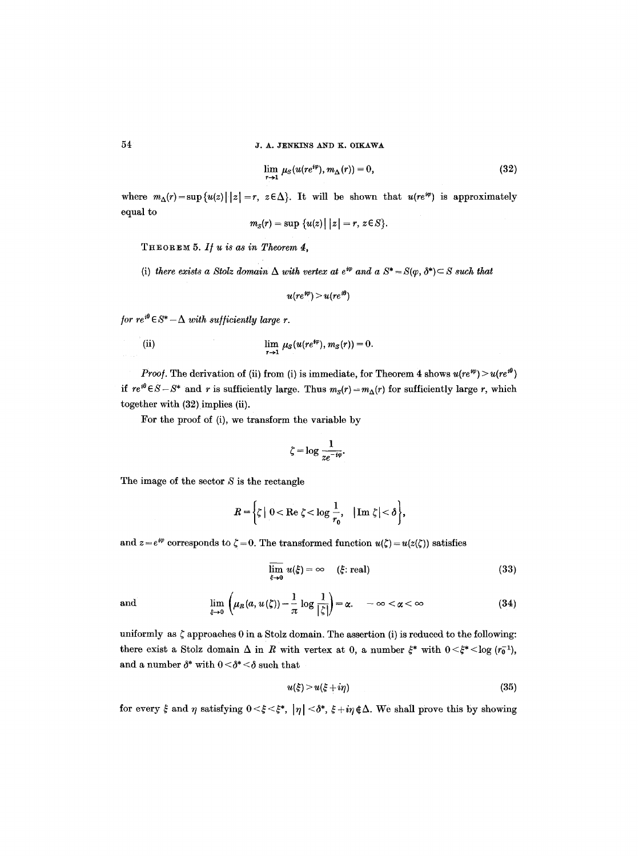$$
\lim_{r \to 1} \mu_S(u(re^{i\varphi}), m_\Delta(r)) = 0,
$$
\n(32)

where  $m_{\Delta}(r) = \sup \{u(z) | |z| = r, z \in \Delta\}$ . It will be shown that  $u(re^{i\varphi})$  is approximately equal to  $\sqrt{1 + 1}$ 

$$
m_S(r)=\sup\big\{u(z)\big|\,\big\vert z\big\vert=r,\,z\!\in\!S\big\}.
$$

*T H E 0 R E ~ 5. I/ U is as in Theorem d,* 

(i) there exists a Stolz domain  $\Delta$  with vertex at  $e^{i\varphi}$  and a  $S^* = S(\varphi, \delta^*) \subset S$  such that

$$
u(re^{i\phi})>u(re^{i\theta})
$$

*for re*<sup> $i\theta$ </sup> $\in$  *S*\*  $-\Delta$  *with sufficiently large r.* 

(ii) 
$$
\lim_{r \to 1} \mu_S(u(re^{i\varphi}), m_S(r)) = 0.
$$

*Proof.* The derivation of (ii) from (i) is immediate, for Theorem 4 shows  $u(re^{i\theta}) > u(re^{i\theta})$ if  $re^{i\theta} \in S - S^*$  and r is sufficiently large. Thus  $m_S(r) = m_\Delta(r)$  for sufficiently large r, which together with (32) implies (ii).

For the proof of (i), we transform the variable by

$$
\zeta = \log \frac{1}{ze^{-i\varphi}}.
$$

The image of the sector  $S$  is the rectangle

$$
R = \left\{ \zeta \mid 0 < \text{Re } \zeta < \log \frac{1}{r_0}, \quad |\text{Im } \zeta| < \delta \right\},\
$$

and  $z = e^{i\varphi}$  corresponds to  $\zeta = 0$ . The transformed function  $u(\zeta) = u(z(\zeta))$  satisfies

$$
\overline{\lim}_{\xi \to 0} u(\xi) = \infty \quad (\xi \text{ real}) \tag{33}
$$

and 
$$
\lim_{\xi \to 0} \left( \mu_R(a, u(\zeta)) - \frac{1}{\pi} \log \frac{1}{|\zeta|} \right) = \alpha. \quad -\infty < \alpha < \infty
$$
 (34)

uniformly as  $\zeta$  approaches 0 in a Stolz domain. The assertion (i) is reduced to the following: there exist a Stolz domain  $\Delta$  in R with vertex at 0, a number  $\xi^*$  with  $0 \leq \xi^* \leq \log (r_0^{-1})$ , and a number  $\delta^*$  with  $0 < \delta^* < \delta$  such that

$$
u(\xi) > u(\xi + i\eta) \tag{35}
$$

for every  $\xi$  and  $\eta$  satisfying  $0 < \xi < \xi^*$ ,  $|\eta| < \delta^*$ ,  $\xi + i\eta \notin \Delta$ . We shall prove this by showing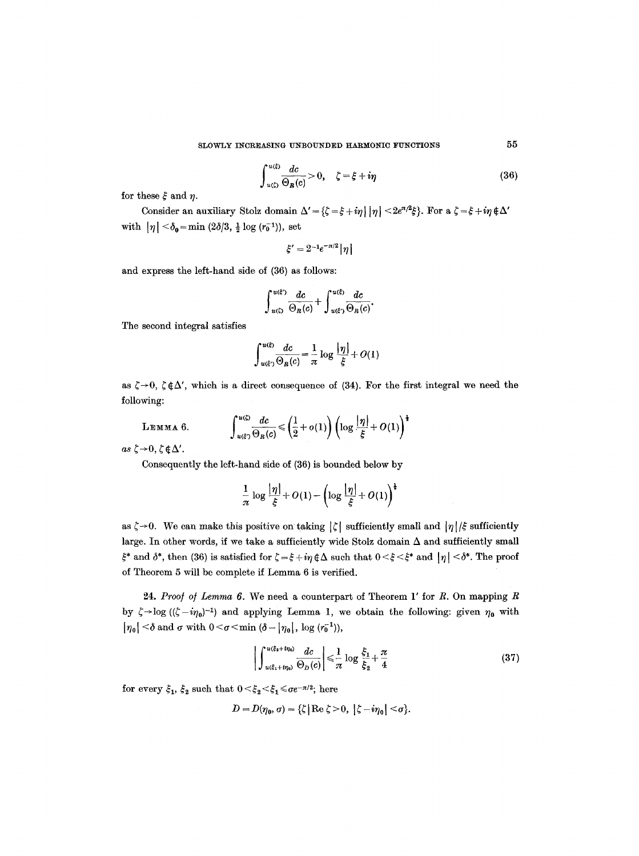$$
\int_{u(\xi)}^{u(\xi)} \frac{dc}{\Theta_R(c)} > 0, \quad \zeta = \xi + i\eta \tag{36}
$$

for these  $\xi$  and  $\eta$ .

Consider an auxiliary Stolz domain  $\Delta' = {\zeta - \xi + i\eta \mid \eta \mid \leq 2e^{\pi/2}\xi}$ . For a  $\zeta = \xi + i\eta \notin \Delta'$ with  $|\eta| < \delta_0 = \min (2\delta/3, \frac{1}{2} \log (r_0^{-1}))$ , set

$$
\xi'=2^{-1}e^{-\pi/2}|\eta|
$$

and express the left-hand side of (36) as follows:

$$
\int_{u(\xi)}^{u(\xi)} \frac{dc}{\Theta_R(c)} + \int_{u(\xi)}^{u(\xi)} \frac{dc}{\Theta_R(c)}.
$$

The second integral satisfies

$$
\int_{u(\xi)}^{u(\xi)} \frac{dc}{\Theta_R(c)} = \frac{1}{\pi} \log \frac{|\eta|}{\xi} + O(1)
$$

as  $\zeta \rightarrow 0$ ,  $\zeta \notin \Delta'$ , which is a direct consequence of (34). For the first integral we need the following:

LEMMA 6.

$$
\int_{u(\xi)}^{u(\zeta)} \frac{dc}{\Theta_R(c)} \!\leqslant\! \left(\frac{1}{2}+o(1)\right)\left(\log\frac{|\eta|}{\xi}+O(1)\right)^{\frac{1}{2}}
$$

 $as \zeta \rightarrow 0, \zeta \notin \Delta'.$ 

Consequently the left-hand side of (36) is bounded below by

$$
\frac{1}{\pi}\log\frac{|\eta|}{\xi}+O(1)-\left(\log\frac{|\eta|}{\xi}+O(1)\right)^{\frac{1}{2}}
$$

as  $\zeta \rightarrow 0$ . We can make this positive on taking  $|\zeta|$  sufficiently small and  $|\eta|/\xi$  sufficiently large. In other words, if we take a sufficiently wide Stolz domain  $\Delta$  and sufficiently small  $\xi^*$  and  $\delta^*$ , then (36) is satisfied for  $\zeta = \xi + i\eta \notin \Delta$  such that  $0 < \xi < \xi^*$  and  $|\eta| < \delta^*$ . The proof of Theorem 5 will be complete if Lemma 6 is verified.

24. Proof of Lemma 6. We need a counterpart of Theorem 1' for R. On mapping R by  $\zeta \rightarrow \log ((\zeta - i\eta_0)^{-1})$  and applying Lemma 1, we obtain the following: given  $\eta_0$  with  $|\eta_0| \leq \delta$  and  $\sigma$  with  $0 \leq \sigma \leq \min (\delta - |\eta_0|, \log (r_0^{-1})),$ 

$$
\left| \int_{u(\xi_1 + i\eta_0)}^{u(\xi_2 + i\eta_0)} \frac{dc}{\Theta_D(c)} \right| \leq \frac{1}{\pi} \log \frac{\xi_1}{\xi_2} + \frac{\pi}{4}
$$
 (37)

for every  $\xi_1$ ,  $\xi_2$  such that  $0 < \xi_2 < \xi_1 \le \sigma e^{-\pi/2}$ ; here

$$
D=D(\eta_0,\sigma)=\{\zeta\,|\,{\rm Re}\;\zeta\!>\!0,\;\left|\zeta\!-\!i\eta_0\right|\!<\!\sigma\}.
$$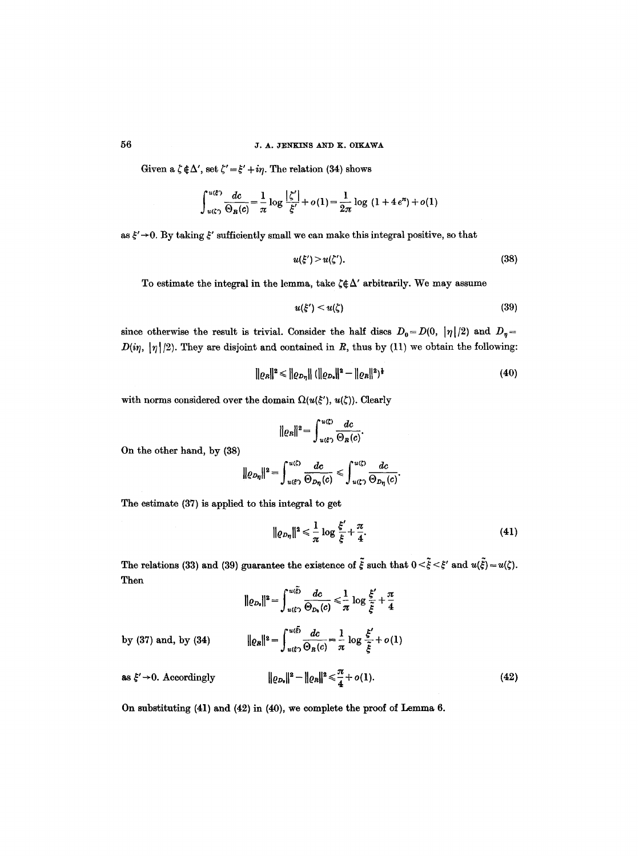# 50 J. A, JENKINS AND K. OIKAWA

Given a  $\zeta \notin \Delta'$ , set  $\zeta' = \xi' + i\eta$ . The relation (34) shows

$$
\int_{u(\zeta)}^{u(\xi)} \frac{dc}{\Theta_R(c)} = \frac{1}{\pi} \log \frac{|\zeta'|}{\xi'} + o(1) = \frac{1}{2\pi} \log (1 + 4e^{\pi}) + o(1)
$$

as  $\xi' \rightarrow 0$ . By taking  $\xi'$  sufficiently small we can make this integral positive, so that

$$
u(\xi') > u(\zeta'). \tag{38}
$$

To estimate the integral in the lemma, take  $\zeta \notin \Delta'$  arbitrarily. We may assume

$$
u(\xi') < u(\zeta) \tag{39}
$$

since otherwise the result is trivial. Consider the half discs  $D_0 = D(0, |\eta|/2)$  and  $D_n =$  $D(i\eta, |\eta|/2)$ . They are disjoint and contained in R, thus by (11) we obtain the following:

$$
\|\varrho_{B}\|^{2} \leq \|\varrho_{D_{\eta}}\| (\|\varrho_{D_{\theta}}\|^{2} - \|\varrho_{B}\|^{2})^{\frac{1}{2}}
$$
\n(40)

with norms considered over the domain  $\Omega(u(\xi'), u(\zeta))$ . Clearly

$$
||\varrho_R||^2 = \int_{u(\xi)}^{u(\zeta)} \frac{dc}{\Theta_R(c)}.
$$

On the other hand, by (38)

$$
\|\varrho_{D_{\eta}}\|^2=\int_{u(\xi)}^{u(\zeta)}\frac{dc}{\Theta_{D_{\eta}}(c)}\leqslant \int_{u(\zeta)}^{u(\zeta)}\frac{dc}{\Theta_{D_{\eta}}(c)}.
$$

The estimate (37) is applied to this integral to get

$$
\|\varrho_{D\eta}\|^2 \leq \frac{1}{\pi} \log \frac{\xi'}{\xi} + \frac{\pi}{4}.\tag{41}
$$

The relations (33) and (39) guarantee the existence of  $\tilde{\xi}$  such that  $0 < \tilde{\xi} < \xi'$  and  $u(\tilde{\xi}) = u(\zeta)$ . Then

$$
\|\varrho_{D_0}\|^2 = \int_{u(\xi)}^{u(\xi)} \frac{dc}{\Theta_{D_0}(c)} \leqslant \frac{1}{\pi} \log \frac{\xi'}{\tilde{\xi}} + \frac{\pi}{4}
$$

by (37) and, by (34)  $\|\varrho_{I}\|$ 

$$
||\mathbf{e}||_2 = \int_{u(\xi)}^{u(\xi)} \frac{dc}{\Theta_R(c)} = \frac{1}{\pi} \log \frac{\xi'}{\xi} + o(1)
$$
  

$$
||\varrho_{D_0}||^2 - ||\varrho_R||^2 \le \frac{\pi}{4} + o(1).
$$
 (42)

as  $\xi' \rightarrow 0$ . Accordingly

On substituting 
$$
(41)
$$
 and  $(42)$  in  $(40)$ , we complete the proof of Lemma 6.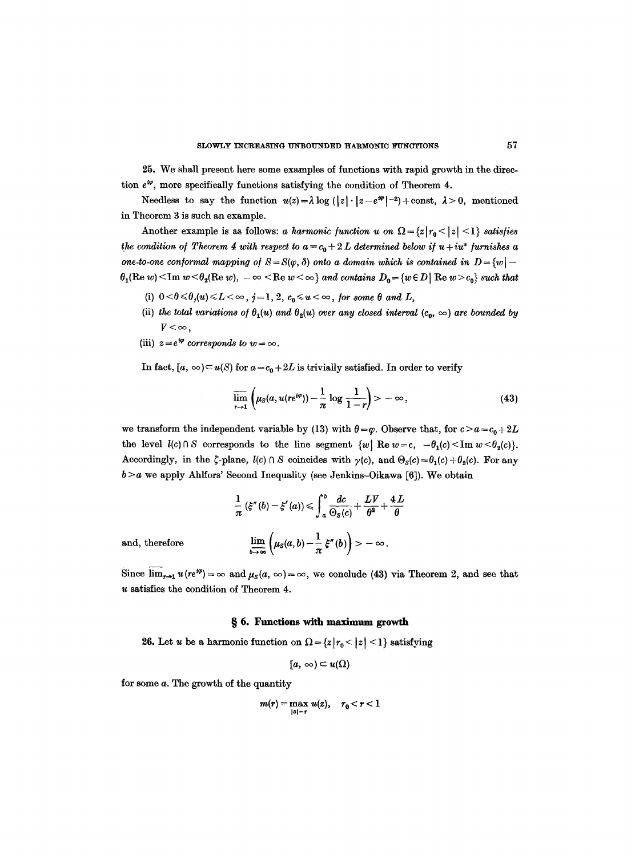25. We shall present here some examples of functions with rapid growth in the direction  $e^{i\varphi}$ , more specifically functions satisfying the condition of Theorem 4.

Needless to say the function  $u(z) = \lambda \log(|z| \cdot |z-e^{i\varphi}|^{-2}) + \text{const}, \lambda > 0$ , mentioned in Theorem 3 is such an example.

Another example is as follows: *a harmonic function u on*  $\Omega = \{z | r_0 < |z| < 1\}$  *satisfies the condition of Theorem 4 with respect to*  $a = c_0 + 2L$  *determined below if*  $u + iu^*$  *furnishes a one-to-one conformal mapping of*  $S = S(\varphi, \delta)$  *onto a domain which is contained in*  $D = \{w \}$  $\theta_1(\text{Re } w) \leq \text{Im } w \leq \theta_2(\text{Re } w), -\infty \leq \text{Re } w \leq \infty$  *and contains*  $D_0 = \{w \in D \mid \text{Re } w > c_0\}$  *such that* 

- (i)  $0 < \theta \le \theta_j(u) \le L < \infty$ ,  $j = 1, 2, c_0 \le u < \infty$ , for some  $\theta$  and  $L$ ,
- (ii) the total variations of  $\theta_1(u)$  and  $\theta_2(u)$  over any closed interval  $(c_0, \infty)$  are bounded by  $V < \infty$ ,
- (iii)  $z=e^{i\varphi}$  corresponds to  $w=\infty$ .

In fact,  $[a, \infty) \subset u(S)$  for  $a = c_0 + 2L$  is trivially satisfied. In order to verify

$$
\overline{\lim}_{r\to 1}\left(\mu_S(a,u(re^{t\varphi}))-\frac{1}{\pi}\log\frac{1}{1-r}\right)>\infty,
$$
\n(43)

we transform the independent variable by (13) with  $\theta = \varphi$ . Observe that, for  $c > a = c_0 + 2L$ the level  $l(c) \cap S$  corresponds to the line segment  $\{w \mid \text{Re } w = c, -\theta_1(c) \leq \text{Im } w \leq \theta_2(c)\}.$ Accordingly, in the  $\zeta$ -plane,  $l(c) \cap S$  coincides with  $\gamma(c)$ , and  $\Theta_S(c) = \theta_1(c) + \theta_2(c)$ . For any  $b > a$  we apply Ahlfors' Second Inequality (see Jenkins-Oikawa [6]). We obtain

$$
\frac{1}{\pi} \left( \xi''(b) - \xi'(a) \right) \le \int_a^b \frac{dc}{\Theta_S(c)} + \frac{LV}{\theta^2} + \frac{4L}{\theta}
$$
\n
$$
\lim_{b \to \infty} \left( \frac{1}{\Theta(s)} \frac{1}{\Theta(s)} \right)
$$

and, therefore

$$
\lim_{b\to\infty}\left(\mu_S(a,b)-\frac{1}{\pi}\,\xi''(b)\right)>-\infty.
$$

Since  $\lim_{r\to 1} u(re^{i\varphi}) = \infty$  and  $\mu_S(a, \infty) = \infty$ , we conclude (43) via Theorem 2, and see that u satisfies the condition of Theorem 4.

#### **w 6. Functions with maximum** growth

26. Let u be a harmonic function on  $\Omega = \{z | r_0 < |z| < 1\}$  satisfying

$$
[a,\,\infty)\subset u(\Omega)
$$

for some a. The growth of the quantity

$$
m(r) = \max_{|z|=r} u(z), \quad r_0 < r < 1
$$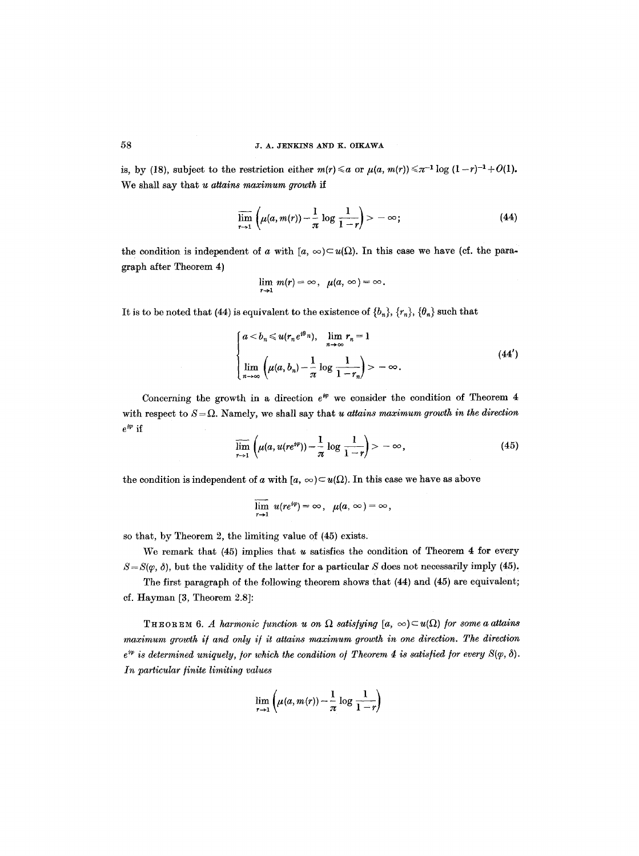is, by (18), subject to the restriction either  $m(r) \le a$  or  $\mu(a, m(r)) \le \pi^{-1} \log (1-r)^{-1}+O(1)$ . We shall say that *u attains maximum growth if* 

$$
\overline{\lim}_{r\to 1}\left(\mu(a,m(r))-\frac{1}{\pi}\log\frac{1}{1-r}\right)>-\infty;\tag{44}
$$

the condition is independent of a with  $[a, \infty) \subset u(\Omega)$ . In this case we have (cf. the paragraph after Theorem 4)

$$
\lim_{r\to 1} m(r) = \infty, \ \mu(a, \infty) = \infty.
$$

It is to be noted that (44) is equivalent to the existence of  $\{b_n\}$ ,  $\{r_n\}$ ,  $\{\theta_n\}$  such that

$$
\begin{cases}\n a < b_n \leqslant u(r_n e^{i\theta_n}), & \lim_{n \to \infty} r_n = 1 \\
\lim_{n \to \infty} \left( \mu(a, b_n) - \frac{1}{\pi} \log \frac{1}{1 - r_n} \right) > -\infty.\n\end{cases} \tag{44'}
$$

Concerning the growth in a direction  $e^{i\varphi}$  we consider the condition of Theorem 4 with respect to  $S = \Omega$ . Namely, we shall say that *u* attains maximum growth in the direction  $e^{i\varphi}$  if

$$
\overline{\lim}_{r\to 1}\left(\mu(a,u(re^{i\varphi}))-\frac{1}{\pi}\log\frac{1}{1-r}\right)>-\infty,\tag{45}
$$

the condition is independent of a with  $[a, \infty) \subset u(\Omega)$ . In this case we have as above

$$
\overline{\lim}_{r\to 1} u(re^{i\varphi}) = \infty, \ \mu(a,\infty) = \infty,
$$

so that, by Theorem 2, the limiting value of (45) exists.

We remark that  $(45)$  implies that u satisfies the condition of Theorem 4 for every  $S = S(\varphi, \delta)$ , but the validity of the latter for a particular S does not necessarily imply (45).

The first paragraph of the following theorem shows that (44) and (45) are equivalent; cf. Hayman [3, Theorem 2.8]:

THEOREM 6. A harmonic function u on  $\Omega$  satisfying  $[a, \infty) \subset u(\Omega)$  for some a attains maximum growth if and only if it attains maximum growth in one direction. The direction  $e^{i\varphi}$  is determined uniquely, for which the condition of Theorem 4 is satisfied for every  $S(\varphi, \delta)$ . *In particular finite limiting values* 

$$
\lim_{r\to 1}\left(\mu(a,m(r))-\frac{1}{\pi}\log\frac{1}{1-r}\right)
$$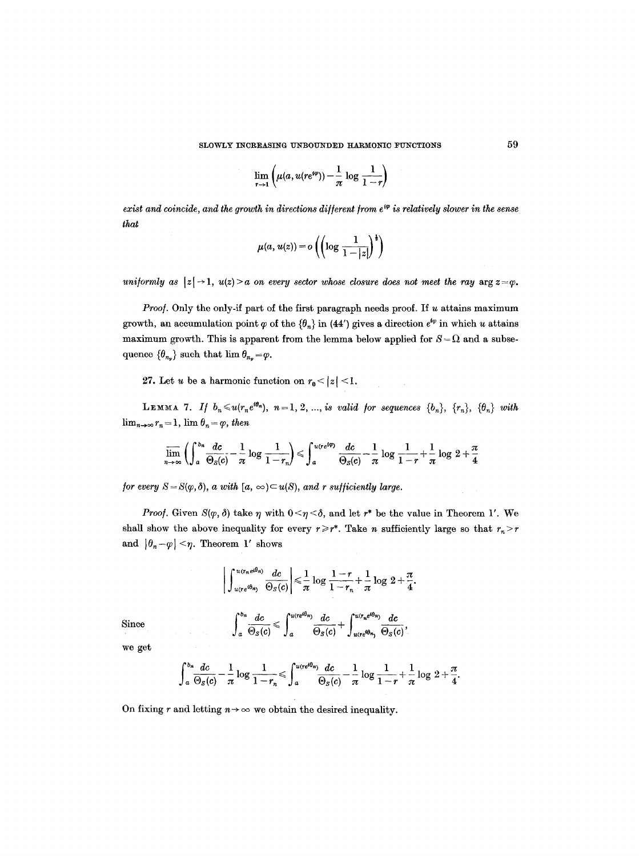$$
\lim_{r\to 1}\left(\mu(a,u(re^{i\varphi}))-\frac{1}{\pi}\log\frac{1}{1-r}\right)
$$

*exist and coincide, and the growth in directions different from*  $e^{i\varphi}$  *is relatively slower in the sense that* 

$$
\mu(a, u(z)) = o\left(\left(\log \frac{1}{1-|z|}\right)^{\frac{1}{2}}\right)
$$

*uniformly as*  $|z| \rightarrow 1$ ,  $u(z) > a$  on every sector whose closure does not meet the ray  $\arg z = \varphi$ .

*Proof.* Only the only-if part of the first paragraph needs proof. If u attains maximum growth, an accumulation point  $\varphi$  of the  $\{\theta_n\}$  in (44') gives a direction  $e^{i\varphi}$  in which u attains maximum growth. This is apparent from the lemma below applied for  $S = \Omega$  and a subsequence  $\{\theta_{n_v}\}\$  such that  $\lim_{v \to \infty} \theta_{n_v} = \varphi$ .

27. Let u be a harmonic function on  $r_0 < |z| < 1$ .

**LEMMA** 7. If  $b_n \leq u(r_ne^{i\theta_n})$ ,  $n=1, 2, ...,$  *is valid for sequences*  $\{b_n\}$ ,  $\{r_n\}$ ,  $\{\theta_n\}$  with  $\lim_{n\to\infty} r_n = 1$ ,  $\lim_{n\to\infty} \theta_n = \varphi$ , then

$$
\overline{\lim}_{n\to\infty}\left(\int_a^{b_n}\frac{dc}{\Theta_S(c)}-\frac{1}{\pi}\log\frac{1}{1-r_n}\right)\leqslant \int_a^{u(re^{ip})}\frac{dc}{\Theta_S(c)}-\frac{1}{\pi}\log\frac{1}{1-r}+\frac{1}{\pi}\log\ 2+\frac{\pi}{4}
$$

*for every*  $S = S(\varphi, \delta)$ , *a with*  $[a, \infty) \subset u(S)$ , *and r sufficiently large.* 

*Proof.* Given  $S(\varphi, \delta)$  take  $\eta$  with  $0 \leq \eta \leq \delta$ , and let  $r^*$  be the value in Theorem 1'. We shall show the above inequality for every  $r \geq r^*$ . Take *n* sufficiently large so that  $r_n > r$ and  $|\theta_n-\varphi|<\eta$ . Theorem 1' shows

$$
\left|\int_{u(re^{i\theta_n})}^{u(r_ne^{i\theta_n})}\frac{dc}{\Theta_S(c)}\right| \leq \frac{1}{\pi}\log\frac{1-r}{1-r_n}+\frac{1}{\pi}\log 2+\frac{\pi}{4}.
$$

Since 
$$
\int_a^{b_n} \frac{dc}{\Theta_S(c)} \leq \int_a^{u(re^{i\theta_n})} \frac{dc}{\Theta_S(c)} + \int_{u(re^{i\theta_n})}^{u(r_n e^{i\theta_n})} \frac{dc}{\Theta_S(c)},
$$

we get

$$
\int_a^{b_n} \frac{dc}{\Theta_S(c)} - \frac{1}{\pi} \log \frac{1}{1-r_n} \leq \int_a^{u(re^{i\theta_n})} \frac{dc}{\Theta_S(c)} - \frac{1}{\pi} \log \frac{1}{1-r} + \frac{1}{\pi} \log 2 + \frac{\pi}{4}.
$$

On fixing r and letting  $n \rightarrow \infty$  we obtain the desired inequality.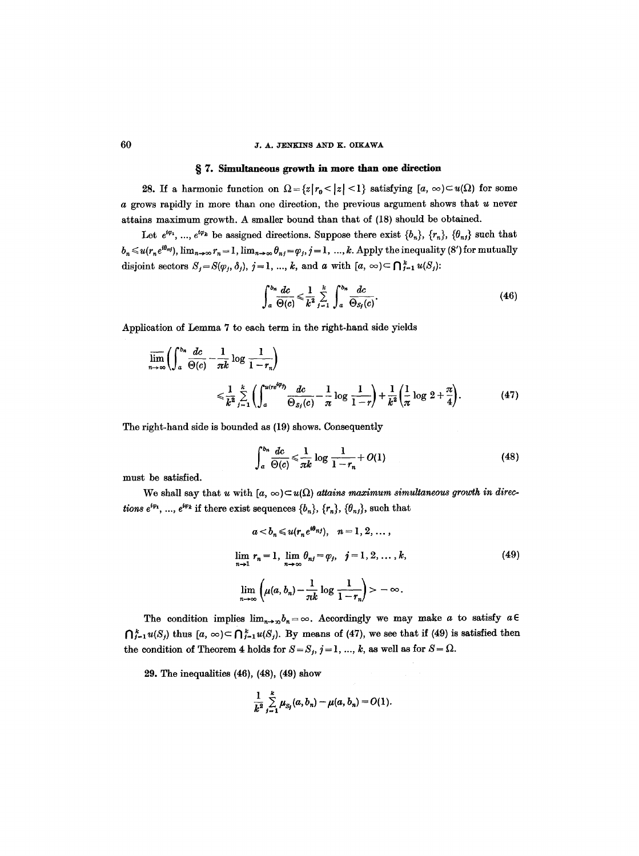#### 60 J.A. JENKINS AND K. OIKAWA

#### w 7. Simultaneous growth in **more than one** direction

28. If a harmonic function on  $\Omega = \{z | r_0 < |z| < 1\}$  satisfying  $[a, \infty) \subset u(\Omega)$  for some a grows rapidly in more than one direction, the previous argument shows that u never attains maximum growth. A smaller bound than that of (18) should be obtained.

Let  $e^{i\varphi_1}$ , ...,  $e^{i\varphi_k}$  be assigned directions. Suppose there exist  $\{b_n\}$ ,  $\{\tau_n\}$ ,  $\{\theta_{nj}\}$  such that  $b_n \leq u(r_n e^{i\theta_{n\ell}})$ ,  $\lim_{n\to\infty} r_n = 1$ ,  $\lim_{n\to\infty} \theta_{n\ell} = \varphi_j$ ,  $j = 1, ..., k$ . Apply the inequality (8') for mutually disjoint sectors  $S_j = S(\varphi_j, \delta_j), j = 1, ..., k$ , and a with  $[a, \infty) \subset \bigcap_{j=1}^k u(S_j)$ :

$$
\int_{a}^{b_n} \frac{dc}{\Theta(c)} \leqslant \frac{1}{k^2} \sum_{j=1}^{k} \int_{a}^{b_n} \frac{dc}{\Theta_{S_j}(c)}.
$$
\n(46)

Application of Lemma 7 to each term in the right-hand side yields

$$
\overline{\lim}_{n\to\infty}\left(\int_a^{b_n}\frac{dc}{\Theta(c)}-\frac{1}{\pi k}\log\frac{1}{1-r_n}\right)
$$
\n
$$
\leqslant \frac{1}{k^2}\sum_{j=1}^k\left(\int_a^{u(re^{i\varphi_j})}\frac{dc}{\Theta_{S_j}(c)}-\frac{1}{\pi}\log\frac{1}{1-r}\right)+\frac{1}{k^2}\left(\frac{1}{\pi}\log 2+\frac{\pi}{4}\right). \tag{47}
$$

The right-hand side is bounded as (19) shows. Consequently

$$
\int_{a}^{b_n} \frac{dc}{\Theta(c)} \leqslant \frac{1}{\pi k} \log \frac{1}{1 - r_n} + O(1) \tag{48}
$$

must be satisfied.

We shall say that u with  $[a, \infty) \subset u(\Omega)$  attains maximum simultaneous growth in direc*tions*  $e^{i\varphi_1}$ , ...,  $e^{i\varphi_k}$  if there exist sequences  $\{b_n\}$ ,  $\{\tau_n\}$ ,  $\{\theta_{ni}\}$ , such that

$$
a < b_n \leq u(r_n e^{i\theta_{nj}}), \quad n = 1, 2, \dots,
$$
  

$$
\lim_{n \to 1} r_n = 1, \quad \lim_{n \to \infty} \theta_{nj} = \varphi_j, \quad j = 1, 2, \dots, k,
$$
  

$$
\lim_{n \to \infty} \left( \mu(a, b_n) - \frac{1}{nk} \log \frac{1}{1 - r_n} \right) > -\infty.
$$
 (49)

The condition implies  $\lim_{n\to\infty}b_n=\infty$ . Accordingly we may make a to satisfy  $a\in$  $\bigcap_{j=1}^k u(S_j)$  thus  $[a, \infty) \subset \bigcap_{j=1}^k u(S_j)$ . By means of (47), we see that if (49) is satisfied then the condition of Theorem 4 holds for  $S = S_j$ ,  $j = 1, ..., k$ , as well as for  $S = \Omega$ .

29. The inequalities (46), (48), (49) show

$$
\frac{1}{k^2}\sum_{j=1}^k \mu_{S_j}(a,b_n) - \mu(a,b_n) = O(1).
$$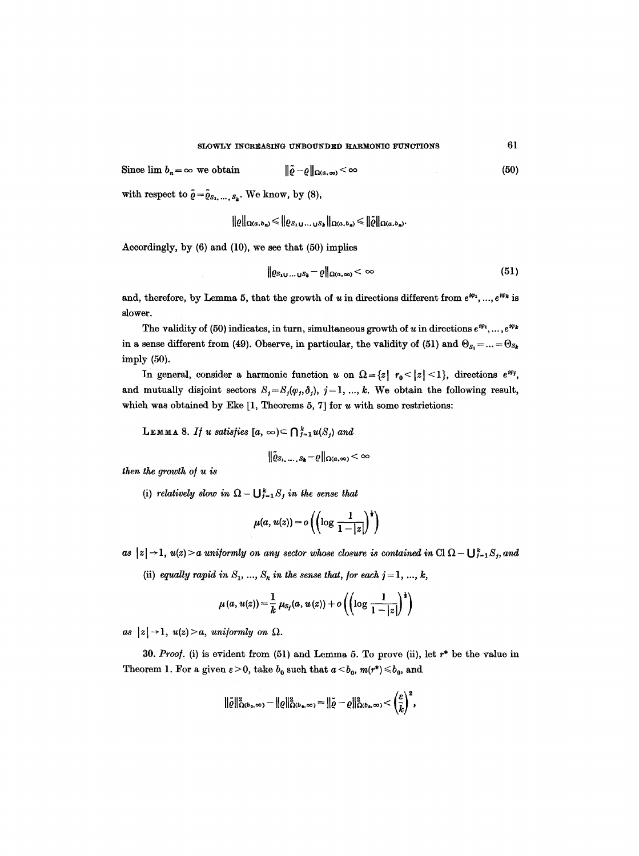Since  $\lim b_n = \infty$  we obtain  $\|\tilde{\varrho}-\varrho\|_{\Omega(a,\infty)} < \infty$ 

with respect to  $\tilde{\varrho} = \tilde{\varrho}_{s_1,\ldots,s_k}$ . We know, by (8),

$$
\|\varrho\|_{\Omega(a,b_n)} \leqslant \|\varrho_{S_1\cup\ldots\cup S_k}\|_{\Omega(a,b_n)} \leqslant \|\tilde{\varrho}\|_{\Omega(a,b_n)}.
$$

Accordingly, by (6) and (10), we see that (50) implies

$$
\|\varrho_{S_1\cup\ldots\cup S_k}-\varrho\|_{\Omega(a,\infty)}<\infty\tag{51}
$$

and, therefore, by Lemma 5, that the growth of u in directions different from  $e^{i\varphi_1}, ..., e^{i\varphi_k}$  is slower.

The validity of (50) indicates, in turn, simultaneous growth of u in directions  $e^{i\varphi_1}, \ldots, e^{i\varphi_k}$ in a sense different from (49). Observe, in particular, the validity of (51) and  $\Theta_{s_1} = ... = \Theta_{s_k}$ imply (50).

In general, consider a harmonic function u on  $\Omega = \{z \mid r_0 \leq |z| \leq 1\}$ , directions  $e^{i\varphi_j}$ , and mutually disjoint sectors  $S_j = S_j(\varphi_j, \delta_j)$ ,  $j = 1, ..., k$ . We obtain the following result, which was obtained by Eke  $[1,$  Theorems 5, 7] for  $u$  with some restrictions:

**LEMMA** 8. *If u satisfies*  $[a, \infty) \subset \bigcap_{j=1}^{k} u(S_j)$  and

$$
\|\tilde{\varrho}_{S_1,\ \dots,\ S_k}-\varrho\|_{\Omega(a,\infty)}<\infty
$$

*then the growth ol u is* 

(i) *relatively slow in*  $\Omega - \bigcup_{j=1}^{k} S_j$  *in the sense that* 

$$
\mu(a, u(z)) = o\left(\left(\log \frac{1}{1-|z|}\right)^{\frac{1}{2}}\right)
$$

as  $|z| \rightarrow 1$ ,  $u(z) > a$  uniformly on any sector whose closure is contained in Cl  $\Omega - \bigcup_{j=1}^k S_j$ , and

(ii) *equally rapid in*  $S_1$ , ...,  $S_k$  in the sense that, for each  $j = 1, ..., k$ ,

$$
\mu(a, u(z)) = \frac{1}{k} \mu_{S_i}(a, u(z)) + o\left(\left(\log \frac{1}{1-|z|}\right)^{\frac{1}{2}}\right)
$$

*as*  $|z| \rightarrow 1$ ,  $u(z) > a$ , uniformly on  $\Omega$ .

30. *Proof.* (i) is evident from (51) and Lemma 5. To prove (ii), let r\* be the value in Theorem 1. For a given  $\varepsilon > 0$ , take  $b_0$  such that  $a < b_0$ ,  $m(r^*) \leq b_0$ , and

$$
\|\tilde{\varrho}\|^2_{\Omega(b_0,\infty)} - \|\varrho\|^2_{\Omega(b_0,\infty)} = \|\tilde{\varrho} - \varrho\|^2_{\Omega(b_0,\infty)} < \left(\frac{\varepsilon}{\tilde{k}}\right)^2,
$$

**(5o)**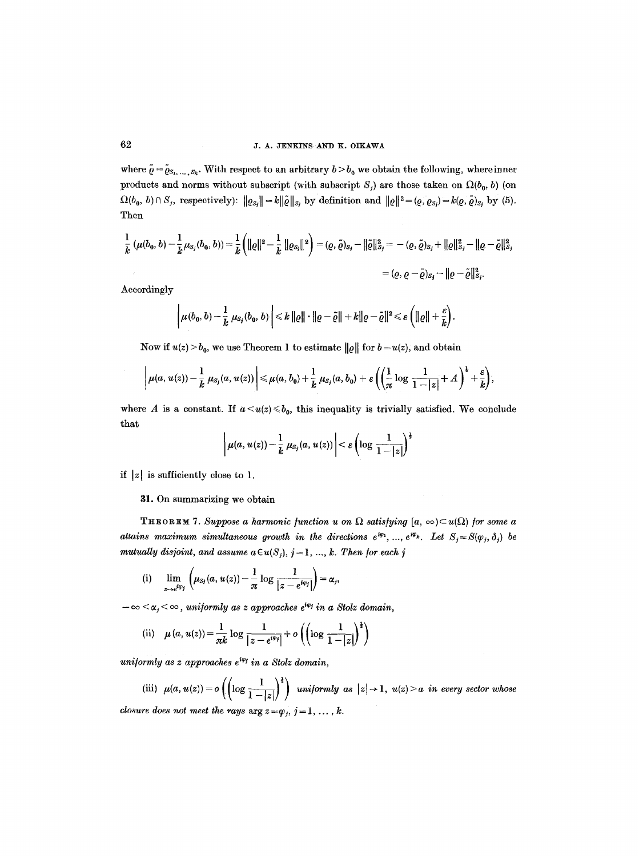where  $\tilde{\varrho} = \tilde{\varrho}_{S_1,\ldots,S_k}$ . With respect to an arbitrary  $b > b_0$  we obtain the following, where inner products and norms without subscript (with subscript  $S_i$ ) are those taken on  $\Omega(b_0, b)$  (on  $\Omega(b_0, b)\cap S_j$ , respectively):  $||\varrho_{S_j}|| = k||\tilde{\varrho}||_{S_j}$  by definition and  $||\varrho||^2 = (Q, \varrho_{S_j}) = k(Q, \tilde{\varrho})_{S_j}$  by (5). Then

$$
\frac{1}{k} (\mu(b_0, b) - \frac{1}{k} \mu_{S_j}(b_0, b)) = \frac{1}{k} (||\varrho||^2 - \frac{1}{k} ||\varrho_{S_j}||^2) = (\varrho, \tilde{\varrho})_{S_j} - ||\tilde{\varrho}||^2_{S_j} = -(\varrho, \tilde{\varrho})_{S_j} + ||\varrho||^2_{S_j} - ||\varrho - \tilde{\varrho}||^2_{S_j}
$$
\n
$$
= (\varrho, \varrho - \tilde{\varrho})_{S_j} - ||\varrho - \tilde{\varrho}||^2_{S_j}.
$$

Accordingly

$$
\left|\mu(b_0,b)-\frac{1}{k}\,\mu_{S_j}(b_0,b)\right|\leq k\,\|{\varrho}\|\cdot\|{\varrho}-\tilde{\varrho}\|+k\|{\varrho}-\tilde{\varrho}\|^2\leqslant \varepsilon\left(\|{\varrho}\|+\frac{\varepsilon}{k}\right).
$$

Now if  $u(z) > b_0$ , we use Theorem 1 to estimate  $||\rho||$  for  $b = u(z)$ , and obtain

$$
\left|\mu(a, u(z)) - \frac{1}{k} \mu_{S_j}(a, u(z))\right| \leq \mu(a, b_0) + \frac{1}{k} \mu_{S_j}(a, b_0) + \varepsilon \left(\left(\frac{1}{\pi} \log \frac{1}{1-|z|} + A\right)^{\frac{1}{2}} + \frac{\varepsilon}{k}\right),
$$

where A is a constant. If  $a \lt u(z) \leq b_0$ , this inequality is trivially satisfied. We conclude that

$$
\left|\mu(a, u(z)) - \frac{1}{k} \mu_{S_j}(a, u(z))\right| < \varepsilon \left(\log \frac{1}{1-|z|}\right)^{\frac{1}{2}}
$$

if  $|z|$  is sufficiently close to 1.

#### 31. On summarizing we obtain

THEOREM 7. Suppose a harmonic function u on  $\Omega$  satisfying  $[a, \infty) \subset u(\Omega)$  for some a *attains maximum simultaneous growth in the directions*  $e^{i\varphi_1}, ..., e^{i\varphi_k}$ *. Let*  $S_i = S(\varphi_i, \delta_i)$  be *mutually disjoint, and assume*  $a \in u(S_i)$ *, j = 1, ..., k. Then for each j* 

(i) 
$$
\lim_{z\to e^{iq_j}}\left(\mu_{S_j}(a,u(z))-\frac{1}{\pi}\log\frac{1}{|z-e^{iq_j}|}\right)=\alpha_j,
$$

 $-\infty < \alpha_j < \infty$ , uniformly as z approaches  $e^{i\varphi_j}$  in a Stolz domain,

(ii) 
$$
\mu(a, u(z)) = \frac{1}{\pi k} \log \frac{1}{|z - e^{i\varphi_j}|} + o\left(\left(\log \frac{1}{1 - |z|}\right)^{\frac{1}{2}}\right)
$$

*uniformly as z approaches*  $e^{i\varphi_j}$  *in a Stolz domain,* 

(iii)  $\mu(a, u(z)) = o\left(\left(\log \frac{1}{1-|z|}\right)^{\frac{1}{2}}\right)$  uniformly as  $|z| \rightarrow 1$ ,  $u(z) > a$  in every sector whose *closure does not meet the rays*  $\arg z = \varphi_i, j = 1, \ldots, k$ .